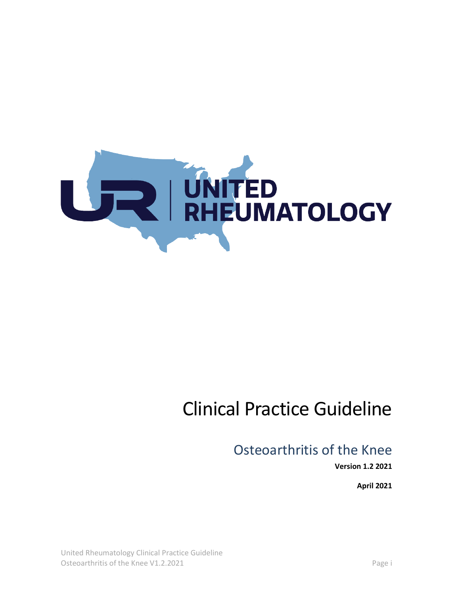

# Clinical Practice Guideline

# Osteoarthritis of the Knee

**Version 1.2 2021**

**April 2021**

United Rheumatology Clinical Practice Guideline Osteoarthritis of the Knee V1.2.2021 **Page i**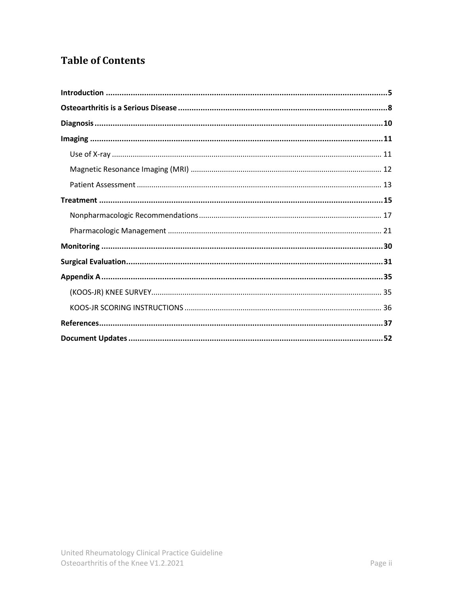# **Table of Contents**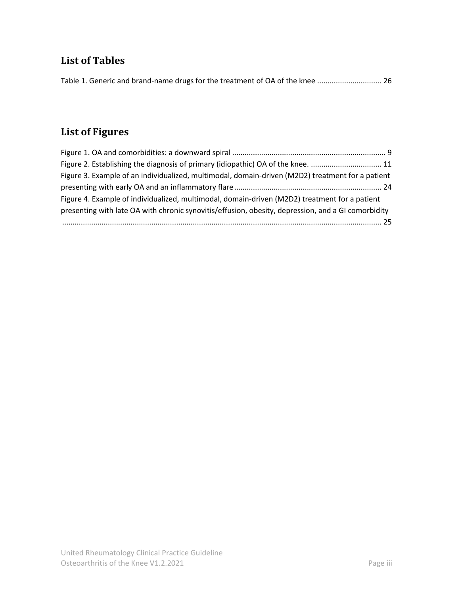# **List of Tables**

| Table 1. Generic and brand-name drugs for the treatment of OA of the knee  26 |  |
|-------------------------------------------------------------------------------|--|
|-------------------------------------------------------------------------------|--|

# **List of Figures**

| Figure 3. Example of an individualized, multimodal, domain-driven (M2D2) treatment for a patient   |  |
|----------------------------------------------------------------------------------------------------|--|
|                                                                                                    |  |
| Figure 4. Example of individualized, multimodal, domain-driven (M2D2) treatment for a patient      |  |
| presenting with late OA with chronic synovitis/effusion, obesity, depression, and a GI comorbidity |  |
|                                                                                                    |  |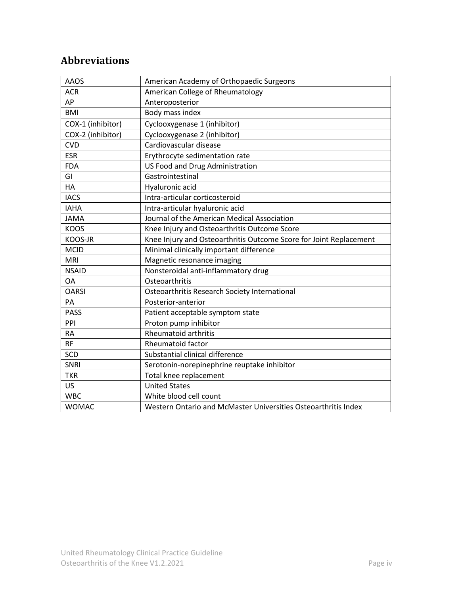# **Abbreviations**

| <b>AAOS</b>       | American Academy of Orthopaedic Surgeons                           |
|-------------------|--------------------------------------------------------------------|
| <b>ACR</b>        | American College of Rheumatology                                   |
| AP                | Anteroposterior                                                    |
| <b>BMI</b>        | Body mass index                                                    |
| COX-1 (inhibitor) | Cyclooxygenase 1 (inhibitor)                                       |
| COX-2 (inhibitor) | Cyclooxygenase 2 (inhibitor)                                       |
| <b>CVD</b>        | Cardiovascular disease                                             |
| <b>ESR</b>        | Erythrocyte sedimentation rate                                     |
| <b>FDA</b>        | US Food and Drug Administration                                    |
| GI                | Gastrointestinal                                                   |
| HA                | Hyaluronic acid                                                    |
| <b>IACS</b>       | Intra-articular corticosteroid                                     |
| <b>IAHA</b>       | Intra-articular hyaluronic acid                                    |
| <b>JAMA</b>       | Journal of the American Medical Association                        |
| <b>KOOS</b>       | Knee Injury and Osteoarthritis Outcome Score                       |
| KOOS-JR           | Knee Injury and Osteoarthritis Outcome Score for Joint Replacement |
| <b>MCID</b>       | Minimal clinically important difference                            |
| <b>MRI</b>        | Magnetic resonance imaging                                         |
| <b>NSAID</b>      | Nonsteroidal anti-inflammatory drug                                |
| <b>OA</b>         | Osteoarthritis                                                     |
| <b>OARSI</b>      | Osteoarthritis Research Society International                      |
| PA                | Posterior-anterior                                                 |
| <b>PASS</b>       | Patient acceptable symptom state                                   |
| PPI               | Proton pump inhibitor                                              |
| <b>RA</b>         | <b>Rheumatoid arthritis</b>                                        |
| <b>RF</b>         | <b>Rheumatoid factor</b>                                           |
| <b>SCD</b>        | Substantial clinical difference                                    |
| SNRI              | Serotonin-norepinephrine reuptake inhibitor                        |
| <b>TKR</b>        | Total knee replacement                                             |
| <b>US</b>         | <b>United States</b>                                               |
| <b>WBC</b>        | White blood cell count                                             |
| <b>WOMAC</b>      | Western Ontario and McMaster Universities Osteoarthritis Index     |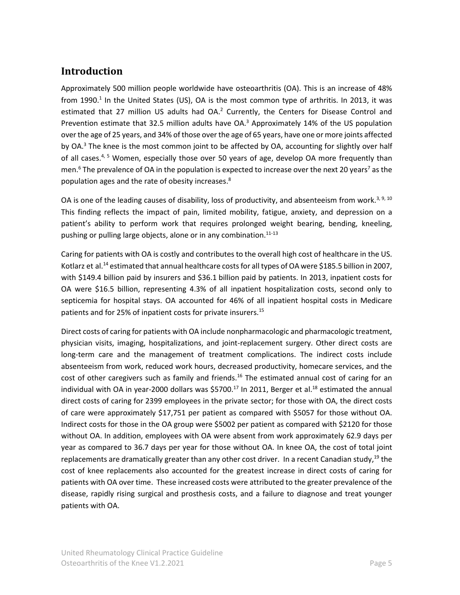# <span id="page-4-0"></span>**Introduction**

Approximately 500 million people worldwide have osteoarthritis (OA). This is an increase of 48% from 1990.<sup>1</sup> In the United States (US), OA is the most common type of arthritis. In 2013, it was estimated that 27 million US adults had OA.<sup>2</sup> Currently, the Centers for Disease Control and Prevention estimate that 32.5 million adults have OA.<sup>3</sup> Approximately 14% of the US population over the age of 25 years, and 34% of those over the age of 65 years, have one or more joints affected by OA.<sup>3</sup> The knee is the most common joint to be affected by OA, accounting for slightly over half of all cases.<sup>4, 5</sup> Women, especially those over 50 years of age, develop OA more frequently than men.<sup>6</sup> The prevalence of OA in the population is expected to increase over the next 20 years<sup>7</sup> as the population ages and the rate of obesity increases. 8

OA is one of the leading causes of disability, loss of productivity, and absenteeism from work.<sup>3, 9, 10</sup> This finding reflects the impact of pain, limited mobility, fatigue, anxiety, and depression on a patient's ability to perform work that requires prolonged weight bearing, bending, kneeling, pushing or pulling large objects, alone or in any combination.<sup>11-13</sup>

Caring for patients with OA is costly and contributes to the overall high cost of healthcare in the US. Kotlarz et al.<sup>14</sup> estimated that annual healthcare costs for all types of OA were \$185.5 billion in 2007, with \$149.4 billion paid by insurers and \$36.1 billion paid by patients. In 2013, inpatient costs for OA were \$16.5 billion, representing 4.3% of all inpatient hospitalization costs, second only to septicemia for hospital stays. OA accounted for 46% of all inpatient hospital costs in Medicare patients and for 25% of inpatient costs for private insurers.<sup>15</sup>

Direct costs of caring for patients with OA include nonpharmacologic and pharmacologic treatment, physician visits, imaging, hospitalizations, and joint-replacement surgery. Other direct costs are long-term care and the management of treatment complications. The indirect costs include absenteeism from work, reduced work hours, decreased productivity, homecare services, and the cost of other caregivers such as family and friends.<sup>16</sup> The estimated annual cost of caring for an individual with OA in year-2000 dollars was \$5700.<sup>17</sup> In 2011, Berger et al.<sup>18</sup> estimated the annual direct costs of caring for 2399 employees in the private sector; for those with OA, the direct costs of care were approximately \$17,751 per patient as compared with \$5057 for those without OA. Indirect costs for those in the OA group were \$5002 per patient as compared with \$2120 for those without OA. In addition, employees with OA were absent from work approximately 62.9 days per year as compared to 36.7 days per year for those without OA. In knee OA, the cost of total joint replacements are dramatically greater than any other cost driver. In a recent Canadian study,<sup>19</sup> the cost of knee replacements also accounted for the greatest increase in direct costs of caring for patients with OA over time. These increased costs were attributed to the greater prevalence of the disease, rapidly rising surgical and prosthesis costs, and a failure to diagnose and treat younger patients with OA.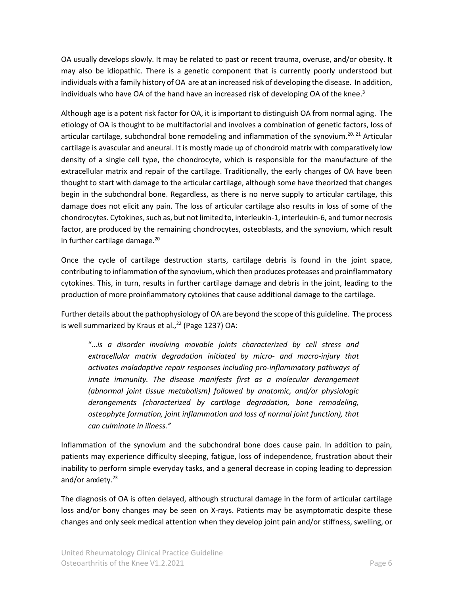OA usually develops slowly. It may be related to past or recent trauma, overuse, and/or obesity. It may also be idiopathic. There is a genetic component that is currently poorly understood but individuals with a family history of OA are at an increased risk of developing the disease. In addition, individuals who have OA of the hand have an increased risk of developing OA of the knee.<sup>3</sup>

Although age is a potent risk factor for OA, it is important to distinguish OA from normal aging. The etiology of OA is thought to be multifactorial and involves a combination of genetic factors, loss of articular cartilage, subchondral bone remodeling and inflammation of the synovium.<sup>20, 21</sup> Articular cartilage is avascular and aneural. It is mostly made up of chondroid matrix with comparatively low density of a single cell type, the chondrocyte, which is responsible for the manufacture of the extracellular matrix and repair of the cartilage. Traditionally, the early changes of OA have been thought to start with damage to the articular cartilage, although some have theorized that changes begin in the subchondral bone. Regardless, as there is no nerve supply to articular cartilage, this damage does not elicit any pain. The loss of articular cartilage also results in loss of some of the chondrocytes. Cytokines, such as, but not limited to, interleukin-1, interleukin-6, and tumor necrosis factor, are produced by the remaining chondrocytes, osteoblasts, and the synovium, which result in further cartilage damage. $20$ 

Once the cycle of cartilage destruction starts, cartilage debris is found in the joint space, contributing to inflammation of the synovium, which then produces proteases and proinflammatory cytokines. This, in turn, results in further cartilage damage and debris in the joint, leading to the production of more proinflammatory cytokines that cause additional damage to the cartilage.

Further details about the pathophysiology of OA are beyond the scope of this guideline. The process is well summarized by Kraus et al., $^{22}$  (Page 1237) OA:

"…*is a disorder involving movable joints characterized by cell stress and extracellular matrix degradation initiated by micro- and macro-injury that activates maladaptive repair responses including pro-inflammatory pathways of innate immunity. The disease manifests first as a molecular derangement (abnormal joint tissue metabolism) followed by anatomic, and/or physiologic derangements (characterized by cartilage degradation, bone remodeling, osteophyte formation, joint inflammation and loss of normal joint function), that can culminate in illness."* 

Inflammation of the synovium and the subchondral bone does cause pain. In addition to pain, patients may experience difficulty sleeping, fatigue, loss of independence, frustration about their inability to perform simple everyday tasks, and a general decrease in coping leading to depression and/or anxiety.<sup>23</sup>

The diagnosis of OA is often delayed, although structural damage in the form of articular cartilage loss and/or bony changes may be seen on X-rays. Patients may be asymptomatic despite these changes and only seek medical attention when they develop joint pain and/or stiffness, swelling, or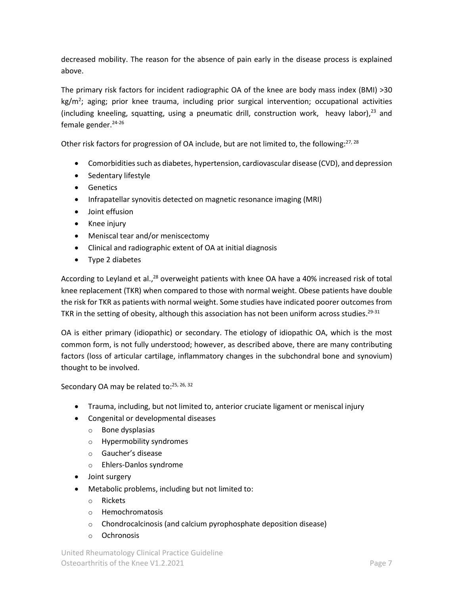decreased mobility. The reason for the absence of pain early in the disease process is explained above.

The primary risk factors for incident radiographic OA of the knee are body mass index (BMI) >30 kg/m<sup>2</sup>; aging; prior knee trauma, including prior surgical intervention; occupational activities (including kneeling, squatting, using a pneumatic drill, construction work, heavy labor),<sup>23</sup> and female gender. $24-26$ 

Other risk factors for progression of OA include, but are not limited to, the following:<sup>27, 28</sup>

- Comorbidities such as diabetes, hypertension, cardiovascular disease (CVD), and depression
- Sedentary lifestyle
- Genetics
- Infrapatellar synovitis detected on magnetic resonance imaging (MRI)
- Joint effusion
- Knee injury
- Meniscal tear and/or meniscectomy
- Clinical and radiographic extent of OA at initial diagnosis
- Type 2 diabetes

According to Leyland et al.,<sup>28</sup> overweight patients with knee OA have a 40% increased risk of total knee replacement (TKR) when compared to those with normal weight. Obese patients have double the risk for TKR as patients with normal weight. Some studies have indicated poorer outcomes from TKR in the setting of obesity, although this association has not been uniform across studies. $^{29\text{-}31}$ 

OA is either primary (idiopathic) or secondary. The etiology of idiopathic OA, which is the most common form, is not fully understood; however, as described above, there are many contributing factors (loss of articular cartilage, inflammatory changes in the subchondral bone and synovium) thought to be involved.

Secondary OA may be related to:<sup>25, 26, 32</sup>

- Trauma, including, but not limited to, anterior cruciate ligament or meniscal injury
- Congenital or developmental diseases
	- o Bone dysplasias
	- o Hypermobility syndromes
	- o Gaucher's disease
	- o Ehlers-Danlos syndrome
- Joint surgery
- Metabolic problems, including but not limited to:
	- o Rickets
	- o Hemochromatosis
	- o Chondrocalcinosis (and calcium pyrophosphate deposition disease)
	- o Ochronosis

United Rheumatology Clinical Practice Guideline Osteoarthritis of the Knee V1.2.2021 **Page 7** Page 7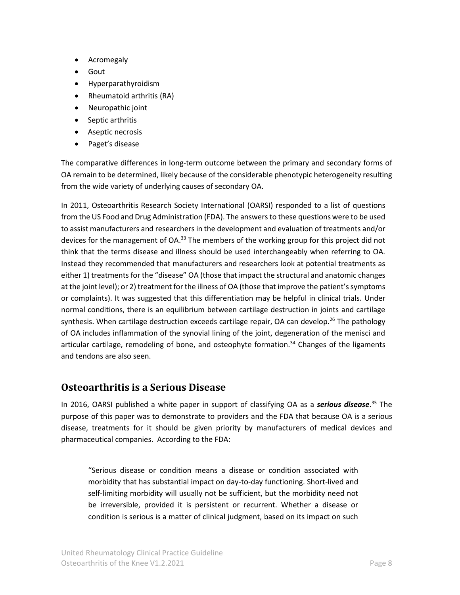- Acromegaly
- Gout
- Hyperparathyroidism
- Rheumatoid arthritis (RA)
- Neuropathic joint
- Septic arthritis
- Aseptic necrosis
- Paget's disease

The comparative differences in long-term outcome between the primary and secondary forms of OA remain to be determined, likely because of the considerable phenotypic heterogeneity resulting from the wide variety of underlying causes of secondary OA.

In 2011, Osteoarthritis Research Society International (OARSI) responded to a list of questions from the US Food and Drug Administration (FDA). The answers to these questions were to be used to assist manufacturers and researchers in the development and evaluation of treatments and/or devices for the management of OA.<sup>33</sup> The members of the working group for this project did not think that the terms disease and illness should be used interchangeably when referring to OA. Instead they recommended that manufacturers and researchers look at potential treatments as either 1) treatments for the "disease" OA (those that impact the structural and anatomic changes at the joint level); or 2) treatment for the illness of OA (those that improve the patient's symptoms or complaints). It was suggested that this differentiation may be helpful in clinical trials. Under normal conditions, there is an equilibrium between cartilage destruction in joints and cartilage synthesis. When cartilage destruction exceeds cartilage repair, OA can develop.<sup>26</sup> The pathology of OA includes inflammation of the synovial lining of the joint, degeneration of the menisci and articular cartilage, remodeling of bone, and osteophyte formation.<sup>34</sup> Changes of the ligaments and tendons are also seen.

# <span id="page-7-0"></span>**Osteoarthritis is a Serious Disease**

In 2016, OARSI published a white paper in support of classifying OA as a *serious disease*. <sup>35</sup> The purpose of this paper was to demonstrate to providers and the FDA that because OA is a serious disease, treatments for it should be given priority by manufacturers of medical devices and pharmaceutical companies. According to the FDA:

"Serious disease or condition means a disease or condition associated with morbidity that has substantial impact on day-to-day functioning. Short-lived and self-limiting morbidity will usually not be sufficient, but the morbidity need not be irreversible, provided it is persistent or recurrent. Whether a disease or condition is serious is a matter of clinical judgment, based on its impact on such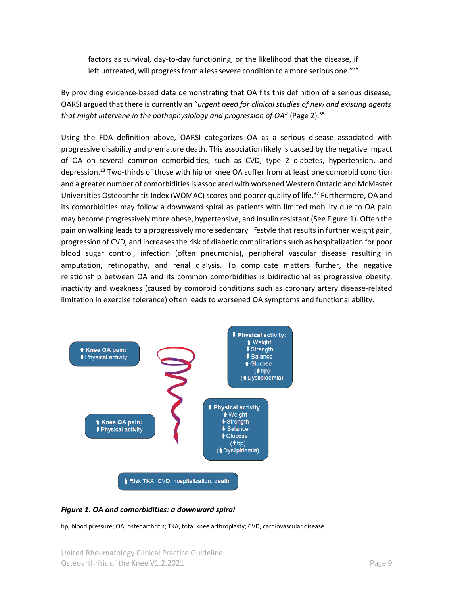factors as survival, day-to-day functioning, or the likelihood that the disease, if left untreated, will progress from a less severe condition to a more serious one."36

By providing evidence-based data demonstrating that OA fits this definition of a serious disease, OARSI argued that there is currently an "*urgent need for clinical studies of new and existing agents*  that might intervene in the pathophysiology and progression of OA" (Page 2).<sup>35</sup>

Using the FDA definition above, OARSI categorizes OA as a serious disease associated with progressive disability and premature death. This association likely is caused by the negative impact of OA on several common comorbidities, such as CVD, type 2 diabetes, hypertension, and depression. <sup>13</sup> Two-thirds of those with hip or knee OA suffer from at least one comorbid condition and a greater number of comorbidities is associated with worsened Western Ontario and McMaster Universities Osteoarthritis Index (WOMAC) scores and poorer quality of life.<sup>37</sup> Furthermore, OA and its comorbidities may follow a downward spiral as patients with limited mobility due to OA pain may become progressively more obese, hypertensive, and insulin resistant (Se[e Figure 1\)](#page-8-0). Often the pain on walking leads to a progressively more sedentary lifestyle that results in further weight gain, progression of CVD, and increases the risk of diabetic complications such as hospitalization for poor blood sugar control, infection (often pneumonia), peripheral vascular disease resulting in amputation, retinopathy, and renal dialysis. To complicate matters further, the negative relationship between OA and its common comorbidities is bidirectional as progressive obesity, inactivity and weakness (caused by comorbid conditions such as coronary artery disease-related limitation in exercise tolerance) often leads to worsened OA symptoms and functional ability.



#### <span id="page-8-0"></span>*Figure 1. OA and comorbidities: a downward spiral*

bp, blood pressure; OA, osteoarthritis; TKA, total knee arthroplasty; CVD, cardiovascular disease.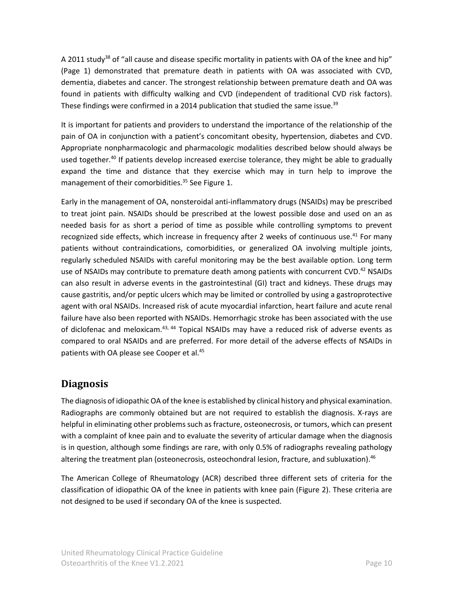A 2011 study<sup>38</sup> of "all cause and disease specific mortality in patients with OA of the knee and hip" (Page 1) demonstrated that premature death in patients with OA was associated with CVD, dementia, diabetes and cancer. The strongest relationship between premature death and OA was found in patients with difficulty walking and CVD (independent of traditional CVD risk factors). These findings were confirmed in a 2014 publication that studied the same issue.<sup>39</sup>

It is important for patients and providers to understand the importance of the relationship of the pain of OA in conjunction with a patient's concomitant obesity, hypertension, diabetes and CVD. Appropriate nonpharmacologic and pharmacologic modalities described below should always be used together.<sup>40</sup> If patients develop increased exercise tolerance, they might be able to gradually expand the time and distance that they exercise which may in turn help to improve the management of their comorbidities. <sup>35</sup> See [Figure 1.](#page-8-0)

Early in the management of OA, nonsteroidal anti-inflammatory drugs (NSAIDs) may be prescribed to treat joint pain. NSAIDs should be prescribed at the lowest possible dose and used on an as needed basis for as short a period of time as possible while controlling symptoms to prevent recognized side effects, which increase in frequency after 2 weeks of continuous use.<sup>41</sup> For many patients without contraindications, comorbidities, or generalized OA involving multiple joints, regularly scheduled NSAIDs with careful monitoring may be the best available option. Long term use of NSAIDs may contribute to premature death among patients with concurrent CVD.<sup>42</sup> NSAIDs can also result in adverse events in the gastrointestinal (GI) tract and kidneys. These drugs may cause gastritis, and/or peptic ulcers which may be limited or controlled by using a gastroprotective agent with oral NSAIDs. Increased risk of acute myocardial infarction, heart failure and acute renal failure have also been reported with NSAIDs. Hemorrhagic stroke has been associated with the use of diclofenac and meloxicam.<sup>43, 44</sup> Topical NSAIDs may have a reduced risk of adverse events as compared to oral NSAIDs and are preferred. For more detail of the adverse effects of NSAIDs in patients with OA please see Cooper et al.<sup>45</sup>

# <span id="page-9-0"></span>**Diagnosis**

The diagnosis of idiopathic OA of the knee is established by clinical history and physical examination. Radiographs are commonly obtained but are not required to establish the diagnosis. X-rays are helpful in eliminating other problems such as fracture, osteonecrosis, or tumors, which can present with a complaint of knee pain and to evaluate the severity of articular damage when the diagnosis is in question, although some findings are rare, with only 0.5% of radiographs revealing pathology altering the treatment plan (osteonecrosis, osteochondral lesion, fracture, and subluxation).<sup>46</sup>

The American College of Rheumatology (ACR) described three different sets of criteria for the classification of idiopathic OA of the knee in patients with knee pain [\(Figure 2\)](#page-10-2). These criteria are not designed to be used if secondary OA of the knee is suspected.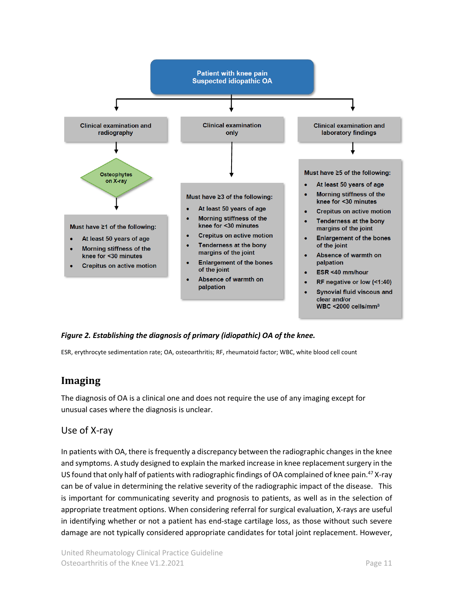

#### <span id="page-10-2"></span>*Figure 2. Establishing the diagnosis of primary (idiopathic) OA of the knee.*

<span id="page-10-0"></span>ESR, erythrocyte sedimentation rate; OA, osteoarthritis; RF, rheumatoid factor; WBC, white blood cell count

# **Imaging**

The diagnosis of OA is a clinical one and does not require the use of any imaging except for unusual cases where the diagnosis is unclear.

#### <span id="page-10-1"></span>Use of X-ray

In patients with OA, there is frequently a discrepancy between the radiographic changes in the knee and symptoms. A study designed to explain the marked increase in knee replacement surgery in the US found that only half of patients with radiographic findings of OA complained of knee pain.<sup>47</sup> X-ray can be of value in determining the relative severity of the radiographic impact of the disease. This is important for communicating severity and prognosis to patients, as well as in the selection of appropriate treatment options. When considering referral for surgical evaluation, X-rays are useful in identifying whether or not a patient has end-stage cartilage loss, as those without such severe damage are not typically considered appropriate candidates for total joint replacement. However,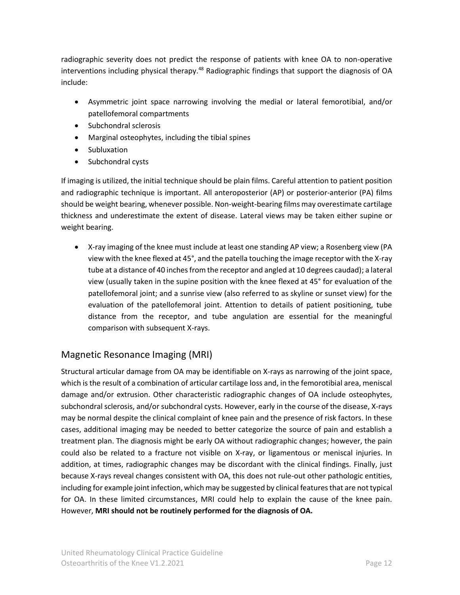radiographic severity does not predict the response of patients with knee OA to non-operative interventions including physical therapy.<sup>48</sup> Radiographic findings that support the diagnosis of OA include:

- Asymmetric joint space narrowing involving the medial or lateral femorotibial, and/or patellofemoral compartments
- Subchondral sclerosis
- Marginal osteophytes, including the tibial spines
- Subluxation
- Subchondral cysts

If imaging is utilized, the initial technique should be plain films. Careful attention to patient position and radiographic technique is important. All anteroposterior (AP) or posterior-anterior (PA) films should be weight bearing, whenever possible. Non-weight-bearing films may overestimate cartilage thickness and underestimate the extent of disease. Lateral views may be taken either supine or weight bearing.

• X-ray imaging of the knee must include at least one standing AP view; a Rosenberg view (PA view with the knee flexed at 45°, and the patella touching the image receptor with the X-ray tube at a distance of 40 inches from the receptor and angled at 10 degrees caudad); a lateral view (usually taken in the supine position with the knee flexed at 45° for evaluation of the patellofemoral joint; and a sunrise view (also referred to as skyline or sunset view) for the evaluation of the patellofemoral joint. Attention to details of patient positioning, tube distance from the receptor, and tube angulation are essential for the meaningful comparison with subsequent X-rays.

# <span id="page-11-0"></span>Magnetic Resonance Imaging (MRI)

Structural articular damage from OA may be identifiable on X-rays as narrowing of the joint space, which is the result of a combination of articular cartilage loss and, in the femorotibial area, meniscal damage and/or extrusion. Other characteristic radiographic changes of OA include osteophytes, subchondral sclerosis, and/or subchondral cysts. However, early in the course of the disease, X-rays may be normal despite the clinical complaint of knee pain and the presence of risk factors. In these cases, additional imaging may be needed to better categorize the source of pain and establish a treatment plan. The diagnosis might be early OA without radiographic changes; however, the pain could also be related to a fracture not visible on X-ray, or ligamentous or meniscal injuries. In addition, at times, radiographic changes may be discordant with the clinical findings. Finally, just because X-rays reveal changes consistent with OA, this does not rule-out other pathologic entities, including for example joint infection, which may be suggested by clinical features that are not typical for OA. In these limited circumstances, MRI could help to explain the cause of the knee pain. However, **MRI should not be routinely performed for the diagnosis of OA.**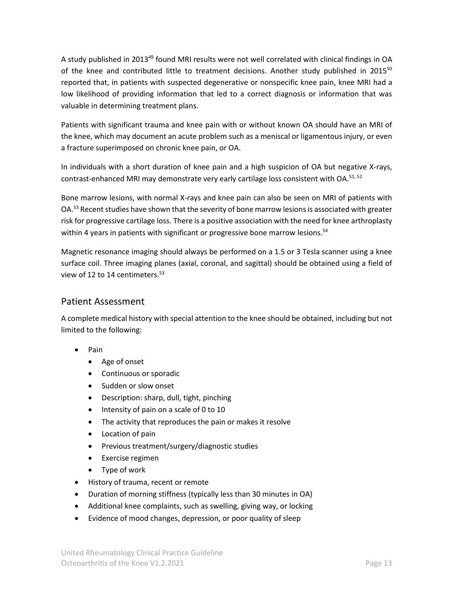A study published in 2013<sup>49</sup> found MRI results were not well correlated with clinical findings in OA of the knee and contributed little to treatment decisions. Another study published in 2015<sup>50</sup> reported that, in patients with suspected degenerative or nonspecific knee pain, knee MRI had a low likelihood of providing information that led to a correct diagnosis or information that was valuable in determining treatment plans.

Patients with significant trauma and knee pain with or without known OA should have an MRI of the knee, which may document an acute problem such as a meniscal or ligamentous injury, or even a fracture superimposed on chronic knee pain, or OA.

In individuals with a short duration of knee pain and a high suspicion of OA but negative X-rays, contrast-enhanced MRI may demonstrate very early cartilage loss consistent with OA.<sup>51, 52</sup>

Bone marrow lesions, with normal X-rays and knee pain can also be seen on MRI of patients with OA.<sup>53</sup> Recent studies have shown that the severity of bone marrow lesions is associated with greater risk for progressive cartilage loss. There is a positive association with the need for knee arthroplasty within 4 years in patients with significant or progressive bone marrow lesions.<sup>54</sup>

Magnetic resonance imaging should always be performed on a 1.5 or 3 Tesla scanner using a knee surface coil. Three imaging planes (axial, coronal, and sagittal) should be obtained using a field of view of 12 to 14 centimeters.<sup>53</sup>

#### <span id="page-12-0"></span>Patient Assessment

A complete medical history with special attention to the knee should be obtained, including but not limited to the following:

- Pain
	- Age of onset
	- Continuous or sporadic
	- Sudden or slow onset
	- Description: sharp, dull, tight, pinching
	- Intensity of pain on a scale of 0 to 10
	- The activity that reproduces the pain or makes it resolve
	- Location of pain
	- Previous treatment/surgery/diagnostic studies
	- Exercise regimen
	- Type of work
- History of trauma, recent or remote
- Duration of morning stiffness (typically less than 30 minutes in OA)
- Additional knee complaints, such as swelling, giving way, or locking
- Evidence of mood changes, depression, or poor quality of sleep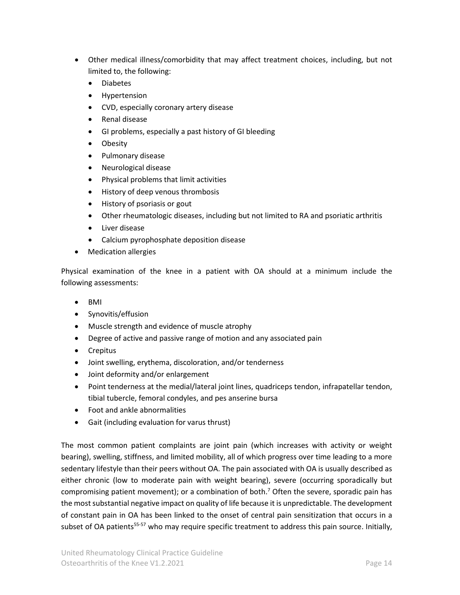- Other medical illness/comorbidity that may affect treatment choices, including, but not limited to, the following:
	- Diabetes
	- Hypertension
	- CVD, especially coronary artery disease
	- Renal disease
	- GI problems, especially a past history of GI bleeding
	- **Obesity**
	- Pulmonary disease
	- Neurological disease
	- Physical problems that limit activities
	- History of deep venous thrombosis
	- History of psoriasis or gout
	- Other rheumatologic diseases, including but not limited to RA and psoriatic arthritis
	- Liver disease
	- Calcium pyrophosphate deposition disease
- Medication allergies

Physical examination of the knee in a patient with OA should at a minimum include the following assessments:

- BMI
- Synovitis/effusion
- Muscle strength and evidence of muscle atrophy
- Degree of active and passive range of motion and any associated pain
- Crepitus
- Joint swelling, erythema, discoloration, and/or tenderness
- Joint deformity and/or enlargement
- Point tenderness at the medial/lateral joint lines, quadriceps tendon, infrapatellar tendon, tibial tubercle, femoral condyles, and pes anserine bursa
- Foot and ankle abnormalities
- Gait (including evaluation for varus thrust)

The most common patient complaints are joint pain (which increases with activity or weight bearing), swelling, stiffness, and limited mobility, all of which progress over time leading to a more sedentary lifestyle than their peers without OA. The pain associated with OA is usually described as either chronic (low to moderate pain with weight bearing), severe (occurring sporadically but compromising patient movement); or a combination of both.<sup>7</sup> Often the severe, sporadic pain has the most substantial negative impact on quality of life because it is unpredictable. The development of constant pain in OA has been linked to the onset of central pain sensitization that occurs in a subset of OA patients<sup>55-57</sup> who may require specific treatment to address this pain source. Initially,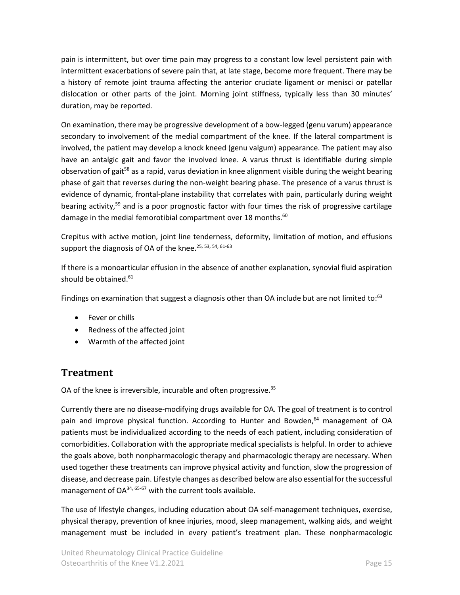pain is intermittent, but over time pain may progress to a constant low level persistent pain with intermittent exacerbations of severe pain that, at late stage, become more frequent. There may be a history of remote joint trauma affecting the anterior cruciate ligament or menisci or patellar dislocation or other parts of the joint. Morning joint stiffness, typically less than 30 minutes' duration, may be reported.

On examination, there may be progressive development of a bow-legged (genu varum) appearance secondary to involvement of the medial compartment of the knee. If the lateral compartment is involved, the patient may develop a knock kneed (genu valgum) appearance. The patient may also have an antalgic gait and favor the involved knee. A varus thrust is identifiable during simple observation of gait<sup>58</sup> as a rapid, varus deviation in knee alignment visible during the weight bearing phase of gait that reverses during the non-weight bearing phase. The presence of a varus thrust is evidence of dynamic, frontal-plane instability that correlates with pain, particularly during weight bearing activity,<sup>59</sup> and is a poor prognostic factor with four times the risk of progressive cartilage damage in the medial femorotibial compartment over 18 months.<sup>60</sup>

Crepitus with active motion, joint line tenderness, deformity, limitation of motion, and effusions support the diagnosis of OA of the knee.<sup>25, 53, 54, 61-63</sup>

If there is a monoarticular effusion in the absence of another explanation, synovial fluid aspiration should be obtained. 61

Findings on examination that suggest a diagnosis other than OA include but are not limited to:<sup>63</sup>

- Fever or chills
- Redness of the affected joint
- Warmth of the affected joint

# <span id="page-14-0"></span>**Treatment**

OA of the knee is irreversible, incurable and often progressive.<sup>35</sup>

Currently there are no disease-modifying drugs available for OA. The goal of treatment is to control pain and improve physical function. According to Hunter and Bowden,<sup>64</sup> management of OA patients must be individualized according to the needs of each patient, including consideration of comorbidities. Collaboration with the appropriate medical specialists is helpful. In order to achieve the goals above, both nonpharmacologic therapy and pharmacologic therapy are necessary. When used together these treatments can improve physical activity and function, slow the progression of disease, and decrease pain. Lifestyle changes as described below are also essential for the successful management of  $OA^{34, 65 \cdot 67}$  with the current tools available.

The use of lifestyle changes, including education about OA self-management techniques, exercise, physical therapy, prevention of knee injuries, mood, sleep management, walking aids, and weight management must be included in every patient's treatment plan. These nonpharmacologic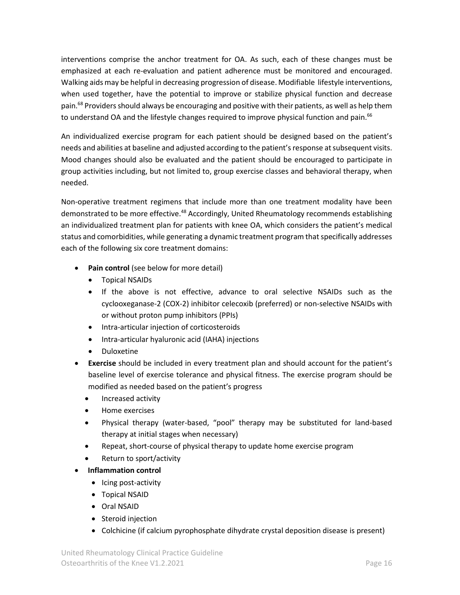interventions comprise the anchor treatment for OA. As such, each of these changes must be emphasized at each re-evaluation and patient adherence must be monitored and encouraged. Walking aids may be helpful in decreasing progression of disease. Modifiable lifestyle interventions, when used together, have the potential to improve or stabilize physical function and decrease pain.<sup>68</sup> Providers should always be encouraging and positive with their patients, as well as help them to understand OA and the lifestyle changes required to improve physical function and pain.<sup>66</sup>

An individualized exercise program for each patient should be designed based on the patient's needs and abilities at baseline and adjusted according to the patient'sresponse at subsequent visits. Mood changes should also be evaluated and the patient should be encouraged to participate in group activities including, but not limited to, group exercise classes and behavioral therapy, when needed.

Non-operative treatment regimens that include more than one treatment modality have been demonstrated to be more effective.<sup>48</sup> Accordingly, United Rheumatology recommends establishing an individualized treatment plan for patients with knee OA, which considers the patient's medical status and comorbidities, while generating a dynamic treatment program that specifically addresses each of the following six core treatment domains:

- **Pain control** (see below for more detail)
	- Topical NSAIDs
	- If the above is not effective, advance to oral selective NSAIDs such as the cyclooxeganase-2 (COX-2) inhibitor celecoxib (preferred) or non-selective NSAIDs with or without proton pump inhibitors (PPIs)
	- Intra-articular injection of corticosteroids
	- Intra-articular hyaluronic acid (IAHA) injections
	- Duloxetine
- **Exercise** should be included in every treatment plan and should account for the patient's baseline level of exercise tolerance and physical fitness. The exercise program should be modified as needed based on the patient's progress
	- Increased activity
	- Home exercises
	- Physical therapy (water-based, "pool" therapy may be substituted for land-based therapy at initial stages when necessary)
	- Repeat, short-course of physical therapy to update home exercise program
	- Return to sport/activity
- **Inflammation control**
	- Icing post-activity
	- Topical NSAID
	- Oral NSAID
	- Steroid injection
	- Colchicine (if calcium pyrophosphate dihydrate crystal deposition disease is present)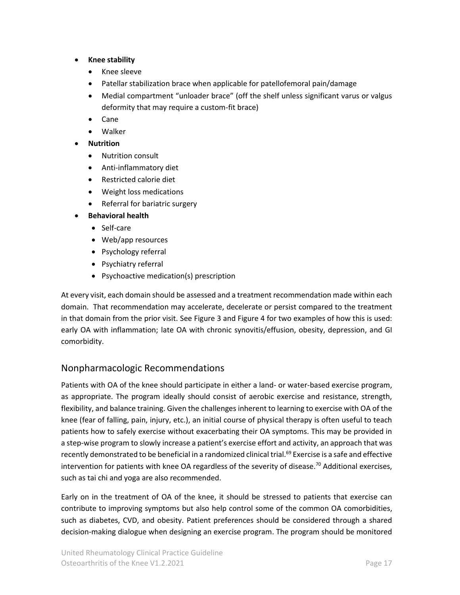#### • **Knee stability**

- Knee sleeve
- Patellar stabilization brace when applicable for patellofemoral pain/damage
- Medial compartment "unloader brace" (off the shelf unless significant varus or valgus deformity that may require a custom-fit brace)
- Cane
- Walker

#### • **Nutrition**

- Nutrition consult
- Anti-inflammatory diet
- Restricted calorie diet
- Weight loss medications
- Referral for bariatric surgery
- **Behavioral health**
	- Self-care
	- Web/app resources
	- Psychology referral
	- Psychiatry referral
	- Psychoactive medication(s) prescription

At every visit, each domain should be assessed and a treatment recommendation made within each domain. That recommendation may accelerate, decelerate or persist compared to the treatment in that domain from the prior visit. See [Figure 3](#page-23-0) and [Figure 4](#page-24-0) for two examples of how this is used: early OA with inflammation; late OA with chronic synovitis/effusion, obesity, depression, and GI comorbidity.

### <span id="page-16-0"></span>Nonpharmacologic Recommendations

Patients with OA of the knee should participate in either a land- or water-based exercise program, as appropriate. The program ideally should consist of aerobic exercise and resistance, strength, flexibility, and balance training. Given the challenges inherent to learning to exercise with OA of the knee (fear of falling, pain, injury, etc.), an initial course of physical therapy is often useful to teach patients how to safely exercise without exacerbating their OA symptoms. This may be provided in a step-wise program to slowly increase a patient's exercise effort and activity, an approach that was recently demonstrated to be beneficial in a randomized clinical trial.<sup>69</sup> Exercise is a safe and effective intervention for patients with knee OA regardless of the severity of disease.<sup>70</sup> Additional exercises, such as tai chi and yoga are also recommended.

Early on in the treatment of OA of the knee, it should be stressed to patients that exercise can contribute to improving symptoms but also help control some of the common OA comorbidities, such as diabetes, CVD, and obesity. Patient preferences should be considered through a shared decision-making dialogue when designing an exercise program. The program should be monitored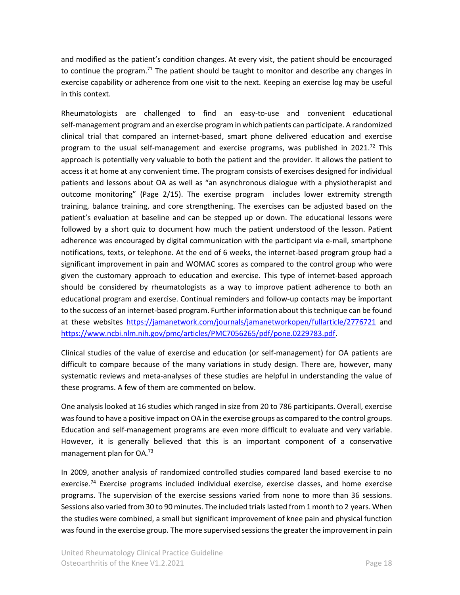and modified as the patient's condition changes. At every visit, the patient should be encouraged to continue the program.<sup>71</sup> The patient should be taught to monitor and describe any changes in exercise capability or adherence from one visit to the next. Keeping an exercise log may be useful in this context.

Rheumatologists are challenged to find an easy-to-use and convenient educational self-management program and an exercise program in which patients can participate. A randomized clinical trial that compared an internet-based, smart phone delivered education and exercise program to the usual self-management and exercise programs, was published in 2021.<sup>72</sup> This approach is potentially very valuable to both the patient and the provider. It allows the patient to access it at home at any convenient time. The program consists of exercises designed for individual patients and lessons about OA as well as "an asynchronous dialogue with a physiotherapist and outcome monitoring" (Page 2/15). The exercise program includes lower extremity strength training, balance training, and core strengthening. The exercises can be adjusted based on the patient's evaluation at baseline and can be stepped up or down. The educational lessons were followed by a short quiz to document how much the patient understood of the lesson. Patient adherence was encouraged by digital communication with the participant via e-mail, smartphone notifications, texts, or telephone. At the end of 6 weeks, the internet-based program group had a significant improvement in pain and WOMAC scores as compared to the control group who were given the customary approach to education and exercise. This type of internet-based approach should be considered by rheumatologists as a way to improve patient adherence to both an educational program and exercise. Continual reminders and follow-up contacts may be important to the success of an internet-based program. Further information about this technique can be found at these websites <https://jamanetwork.com/journals/jamanetworkopen/fullarticle/2776721> and [https://www.ncbi.nlm.nih.gov/pmc/articles/PMC7056265/pdf/pone.0229783.pdf.](https://www.ncbi.nlm.nih.gov/pmc/articles/PMC7056265/pdf/pone.0229783.pdf)

Clinical studies of the value of exercise and education (or self-management) for OA patients are difficult to compare because of the many variations in study design. There are, however, many systematic reviews and meta-analyses of these studies are helpful in understanding the value of these programs. A few of them are commented on below.

One analysis looked at 16 studies which ranged in size from 20 to 786 participants. Overall, exercise was found to have a positive impact on OA in the exercise groups as compared to the control groups. Education and self-management programs are even more difficult to evaluate and very variable. However, it is generally believed that this is an important component of a conservative management plan for OA.<sup>73</sup>

In 2009, another analysis of randomized controlled studies compared land based exercise to no exercise.<sup>74</sup> Exercise programs included individual exercise, exercise classes, and home exercise programs. The supervision of the exercise sessions varied from none to more than 36 sessions. Sessions also varied from 30 to 90 minutes. The included trials lasted from 1 month to 2 years. When the studies were combined, a small but significant improvement of knee pain and physical function was found in the exercise group. The more supervised sessions the greater the improvement in pain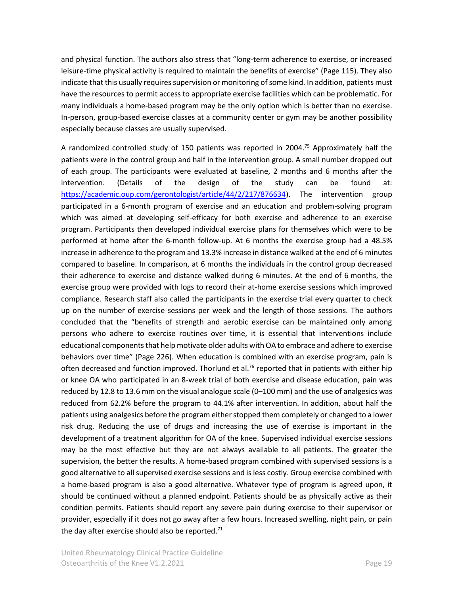and physical function. The authors also stress that "long-term adherence to exercise, or increased leisure-time physical activity is required to maintain the benefits of exercise" (Page 115). They also indicate that this usually requires supervision or monitoring of some kind. In addition, patients must have the resources to permit access to appropriate exercise facilities which can be problematic. For many individuals a home-based program may be the only option which is better than no exercise. In-person, group-based exercise classes at a community center or gym may be another possibility especially because classes are usually supervised.

A randomized controlled study of 150 patients was reported in 2004.<sup>75</sup> Approximately half the patients were in the control group and half in the intervention group. A small number dropped out of each group. The participants were evaluated at baseline, 2 months and 6 months after the intervention. (Details of the design of the study can be found at: [https://academic.oup.com/gerontologist/article/44/2/217/876634\)](https://academic.oup.com/gerontologist/article/44/2/217/876634). The intervention group participated in a 6-month program of exercise and an education and problem-solving program which was aimed at developing self-efficacy for both exercise and adherence to an exercise program. Participants then developed individual exercise plans for themselves which were to be performed at home after the 6-month follow-up. At 6 months the exercise group had a 48.5% increase in adherence to the program and 13.3% increase in distance walked at the end of 6 minutes compared to baseline. In comparison, at 6 months the individuals in the control group decreased their adherence to exercise and distance walked during 6 minutes. At the end of 6 months, the exercise group were provided with logs to record their at-home exercise sessions which improved compliance. Research staff also called the participants in the exercise trial every quarter to check up on the number of exercise sessions per week and the length of those sessions. The authors concluded that the "benefits of strength and aerobic exercise can be maintained only among persons who adhere to exercise routines over time, it is essential that interventions include educational components that help motivate older adults with OA to embrace and adhere to exercise behaviors over time" (Page 226). When education is combined with an exercise program, pain is often decreased and function improved. Thorlund et al.<sup>76</sup> reported that in patients with either hip or knee OA who participated in an 8-week trial of both exercise and disease education, pain was reduced by 12.8 to 13.6 mm on the visual analogue scale (0–100 mm) and the use of analgesics was reduced from 62.2% before the program to 44.1% after intervention. In addition, about half the patients using analgesics before the program either stopped them completely or changed to a lower risk drug. Reducing the use of drugs and increasing the use of exercise is important in the development of a treatment algorithm for OA of the knee. Supervised individual exercise sessions may be the most effective but they are not always available to all patients. The greater the supervision, the better the results. A home-based program combined with supervised sessions is a good alternative to all supervised exercise sessions and is less costly. Group exercise combined with a home-based program is also a good alternative. Whatever type of program is agreed upon, it should be continued without a planned endpoint. Patients should be as physically active as their condition permits. Patients should report any severe pain during exercise to their supervisor or provider, especially if it does not go away after a few hours. Increased swelling, night pain, or pain the day after exercise should also be reported.<sup>71</sup>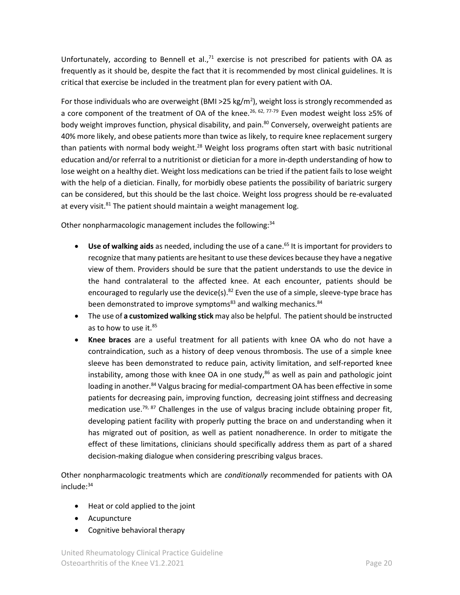Unfortunately, according to Bennell et al., $71$  exercise is not prescribed for patients with OA as frequently as it should be, despite the fact that it is recommended by most clinical guidelines. It is critical that exercise be included in the treatment plan for every patient with OA.

For those individuals who are overweight (BMI >25 kg/m<sup>2</sup>), weight loss is strongly recommended as a core component of the treatment of OA of the knee.<sup>26, 62, 77-79</sup> Even modest weight loss ≥5% of body weight improves function, physical disability, and pain.<sup>80</sup> Conversely, overweight patients are 40% more likely, and obese patients more than twice as likely, to require knee replacement surgery than patients with normal body weight.<sup>28</sup> Weight loss programs often start with basic nutritional education and/or referral to a nutritionist or dietician for a more in-depth understanding of how to lose weight on a healthy diet. Weight loss medications can be tried if the patient fails to lose weight with the help of a dietician. Finally, for morbidly obese patients the possibility of bariatric surgery can be considered, but this should be the last choice. Weight loss progress should be re-evaluated at every visit.<sup>81</sup> The patient should maintain a weight management log.

Other nonpharmacologic management includes the following:<sup>34</sup>

- **Use of walking aids** as needed, including the use of a cane. <sup>65</sup> It is important for providers to recognize that many patients are hesitant to use these devices because they have a negative view of them. Providers should be sure that the patient understands to use the device in the hand contralateral to the affected knee. At each encounter, patients should be encouraged to regularly use the device(s). $82$  Even the use of a simple, sleeve-type brace has been demonstrated to improve symptoms<sup>83</sup> and walking mechanics.<sup>84</sup>
- The use of **a customized walking stick** may also be helpful. The patient should be instructed as to how to use it.<sup>85</sup>
- **Knee braces** are a useful treatment for all patients with knee OA who do not have a contraindication, such as a history of deep venous thrombosis. The use of a simple knee sleeve has been demonstrated to reduce pain, activity limitation, and self-reported knee instability, among those with knee OA in one study,<sup>86</sup> as well as pain and pathologic joint loading in another.<sup>84</sup> Valgus bracing for medial-compartment OA has been effective in some patients for decreasing pain, improving function, decreasing joint stiffness and decreasing medication use.<sup>79, 87</sup> Challenges in the use of valgus bracing include obtaining proper fit, developing patient facility with properly putting the brace on and understanding when it has migrated out of position, as well as patient nonadherence. In order to mitigate the effect of these limitations, clinicians should specifically address them as part of a shared decision-making dialogue when considering prescribing valgus braces.

Other nonpharmacologic treatments which are *conditionally* recommended for patients with OA include:<sup>34</sup>

- Heat or cold applied to the joint
- Acupuncture
- Cognitive behavioral therapy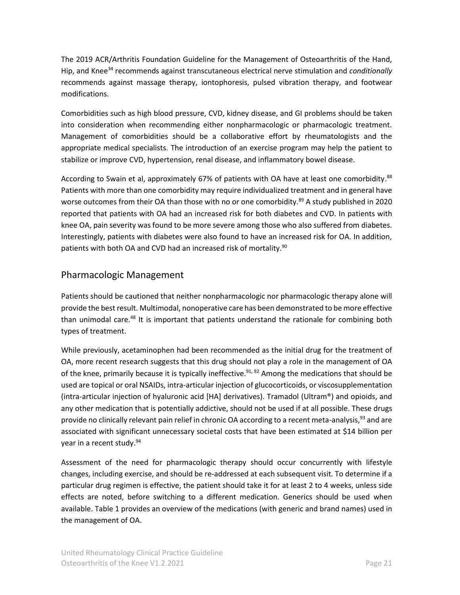The 2019 ACR/Arthritis Foundation Guideline for the Management of Osteoarthritis of the Hand, Hip, and Knee<sup>34</sup> recommends against transcutaneous electrical nerve stimulation and *conditionally* recommends against massage therapy, iontophoresis, pulsed vibration therapy, and footwear modifications.

Comorbidities such as high blood pressure, CVD, kidney disease, and GI problems should be taken into consideration when recommending either nonpharmacologic or pharmacologic treatment. Management of comorbidities should be a collaborative effort by rheumatologists and the appropriate medical specialists. The introduction of an exercise program may help the patient to stabilize or improve CVD, hypertension, renal disease, and inflammatory bowel disease.

According to Swain et al, approximately 67% of patients with OA have at least one comorbidity.<sup>88</sup> Patients with more than one comorbidity may require individualized treatment and in general have worse outcomes from their OA than those with no or one comorbidity.<sup>89</sup> A study published in 2020 reported that patients with OA had an increased risk for both diabetes and CVD. In patients with knee OA, pain severity was found to be more severe among those who also suffered from diabetes. Interestingly, patients with diabetes were also found to have an increased risk for OA. In addition, patients with both OA and CVD had an increased risk of mortality.<sup>90</sup>

### <span id="page-20-0"></span>Pharmacologic Management

Patients should be cautioned that neither nonpharmacologic nor pharmacologic therapy alone will provide the best result. Multimodal, nonoperative care has been demonstrated to be more effective than unimodal care.<sup>48</sup> It is important that patients understand the rationale for combining both types of treatment.

While previously, acetaminophen had been recommended as the initial drug for the treatment of OA, more recent research suggests that this drug should not play a role in the management of OA of the knee, primarily because it is typically ineffective.<sup>91, 92</sup> Among the medications that should be used are topical or oral NSAIDs, intra-articular injection of glucocorticoids, or viscosupplementation (intra-articular injection of hyaluronic acid [HA] derivatives). Tramadol (Ultram®) and opioids, and any other medication that is potentially addictive, should not be used if at all possible. These drugs provide no clinically relevant pain relief in chronic OA according to a recent meta-analysis,<sup>93</sup> and are associated with significant unnecessary societal costs that have been estimated at \$14 billion per year in a recent study.<sup>94</sup>

Assessment of the need for pharmacologic therapy should occur concurrently with lifestyle changes, including exercise, and should be re-addressed at each subsequent visit. To determine if a particular drug regimen is effective, the patient should take it for at least 2 to 4 weeks, unless side effects are noted, before switching to a different medication. Generics should be used when available. [Table](#page-25-0) 1 provides an overview of the medications (with generic and brand names) used in the management of OA.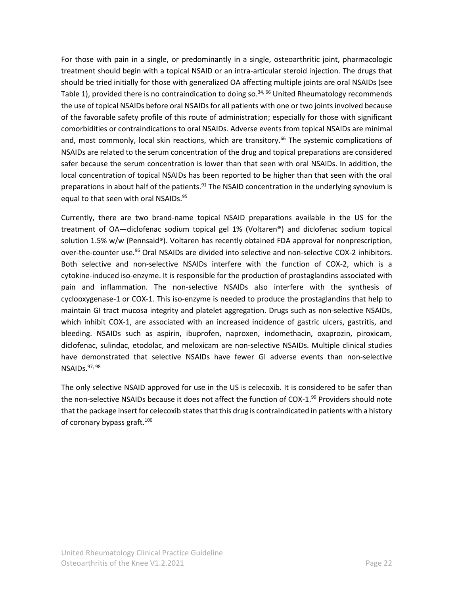For those with pain in a single, or predominantly in a single, osteoarthritic joint, pharmacologic treatment should begin with a topical NSAID or an intra-articular steroid injection. The drugs that should be tried initially for those with generalized OA affecting multiple joints are oral NSAIDs (see [Table 1\)](#page-25-0), provided there is no contraindication to doing so.<sup>34, 66</sup> United Rheumatology recommends the use of topical NSAIDs before oral NSAIDs for all patients with one or two joints involved because of the favorable safety profile of this route of administration; especially for those with significant comorbidities or contraindications to oral NSAIDs. Adverse events from topical NSAIDs are minimal and, most commonly, local skin reactions, which are transitory. <sup>66</sup> The systemic complications of NSAIDs are related to the serum concentration of the drug and topical preparations are considered safer because the serum concentration is lower than that seen with oral NSAIDs. In addition, the local concentration of topical NSAIDs has been reported to be higher than that seen with the oral preparations in about half of the patients.<sup>91</sup> The NSAID concentration in the underlying synovium is equal to that seen with oral NSAIDs.<sup>95</sup>

Currently, there are two brand-name topical NSAID preparations available in the US for the treatment of OA—diclofenac sodium topical gel 1% (Voltaren®) and diclofenac sodium topical solution 1.5% w/w (Pennsaid®). Voltaren has recently obtained FDA approval for nonprescription, over-the-counter use.<sup>96</sup> Oral NSAIDs are divided into selective and non-selective COX-2 inhibitors. Both selective and non-selective NSAIDs interfere with the function of COX-2, which is a cytokine-induced iso-enzyme. It is responsible for the production of prostaglandins associated with pain and inflammation. The non-selective NSAIDs also interfere with the synthesis of cyclooxygenase-1 or COX-1. This iso-enzyme is needed to produce the prostaglandins that help to maintain GI tract mucosa integrity and platelet aggregation. Drugs such as non-selective NSAIDs, which inhibit COX-1, are associated with an increased incidence of gastric ulcers, gastritis, and bleeding. NSAIDs such as aspirin, ibuprofen, naproxen, indomethacin, oxaprozin, piroxicam, diclofenac, sulindac, etodolac, and meloxicam are non-selective NSAIDs. Multiple clinical studies have demonstrated that selective NSAIDs have fewer GI adverse events than non-selective NSAIDs.<sup>97, 98</sup>

The only selective NSAID approved for use in the US is celecoxib. It is considered to be safer than the non-selective NSAIDs because it does not affect the function of COX-1.<sup>99</sup> Providers should note that the package insert for celecoxib statesthat this drug is contraindicated in patients with a history of coronary bypass graft.<sup>100</sup>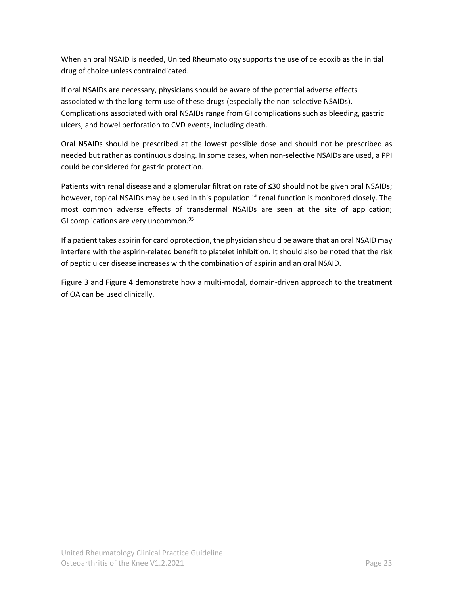When an oral NSAID is needed, United Rheumatology supports the use of celecoxib as the initial drug of choice unless contraindicated.

If oral NSAIDs are necessary, physicians should be aware of the potential adverse effects associated with the long-term use of these drugs (especially the non-selective NSAIDs). Complications associated with oral NSAIDs range from GI complications such as bleeding, gastric ulcers, and bowel perforation to CVD events, including death.

Oral NSAIDs should be prescribed at the lowest possible dose and should not be prescribed as needed but rather as continuous dosing. In some cases, when non-selective NSAIDs are used, a PPI could be considered for gastric protection.

Patients with renal disease and a glomerular filtration rate of ≤30 should not be given oral NSAIDs; however, topical NSAIDs may be used in this population if renal function is monitored closely. The most common adverse effects of transdermal NSAIDs are seen at the site of application; GI complications are very uncommon.<sup>95</sup>

If a patient takes aspirin for cardioprotection, the physician should be aware that an oral NSAID may interfere with the aspirin-related benefit to platelet inhibition. It should also be noted that the risk of peptic ulcer disease increases with the combination of aspirin and an oral NSAID.

[Figure 3](#page-23-0) and [Figure 4](#page-24-0) demonstrate how a multi-modal, domain-driven approach to the treatment of OA can be used clinically.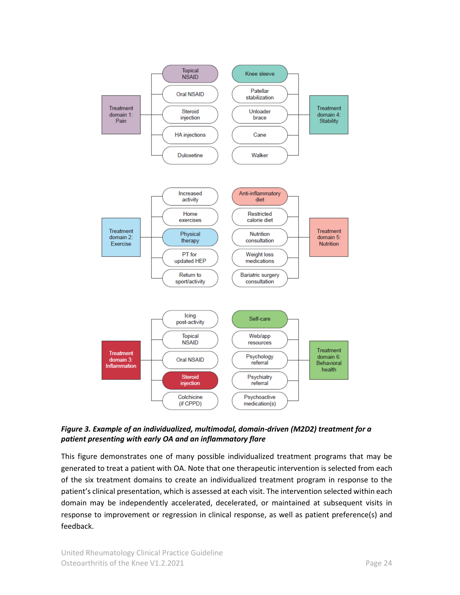

<span id="page-23-0"></span>*Figure 3. Example of an individualized, multimodal, domain-driven (M2D2) treatment for a patient presenting with early OA and an inflammatory flare*

This figure demonstrates one of many possible individualized treatment programs that may be generated to treat a patient with OA. Note that one therapeutic intervention is selected from each of the six treatment domains to create an individualized treatment program in response to the patient's clinical presentation, which is assessed at each visit. The intervention selected within each domain may be independently accelerated, decelerated, or maintained at subsequent visits in response to improvement or regression in clinical response, as well as patient preference(s) and feedback.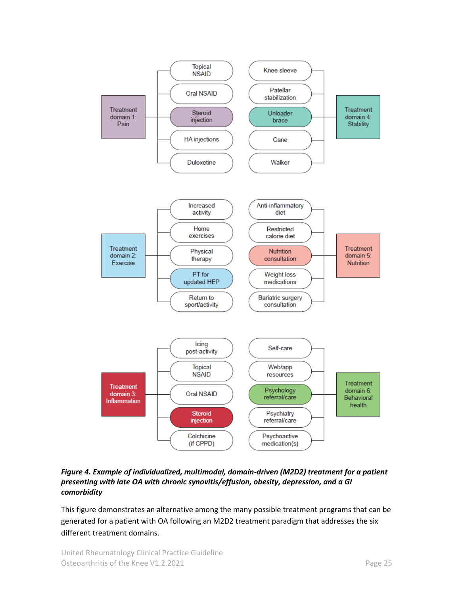

<span id="page-24-0"></span>*Figure 4. Example of individualized, multimodal, domain-driven (M2D2) treatment for a patient presenting with late OA with chronic synovitis/effusion, obesity, depression, and a GI comorbidity*

This figure demonstrates an alternative among the many possible treatment programs that can be generated for a patient with OA following an M2D2 treatment paradigm that addresses the six different treatment domains.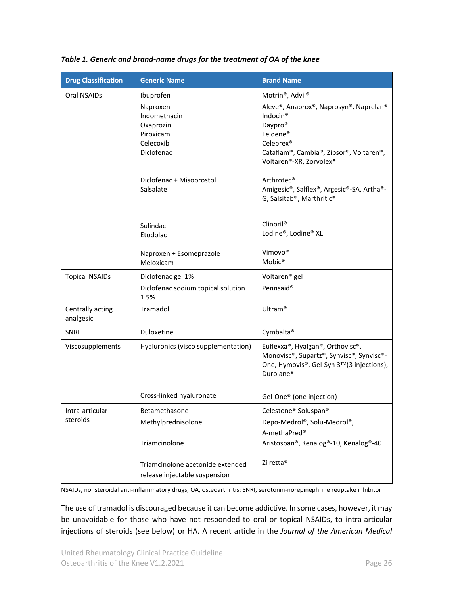| <b>Drug Classification</b>    | <b>Generic Name</b>                                                                                                                 | <b>Brand Name</b>                                                                                                                                                                                                                                                              |
|-------------------------------|-------------------------------------------------------------------------------------------------------------------------------------|--------------------------------------------------------------------------------------------------------------------------------------------------------------------------------------------------------------------------------------------------------------------------------|
| Oral NSAIDs                   | Ibuprofen<br>Naproxen<br>Indomethacin<br>Oxaprozin<br>Piroxicam<br>Celecoxib<br>Diclofenac<br>Diclofenac + Misoprostol<br>Salsalate | Motrin®, Advil®<br>Aleve®, Anaprox®, Naprosyn®, Naprelan®<br>Indocin <sup>®</sup><br>Daypro <sup>®</sup><br>Feldene®<br>Celebrex®<br>Cataflam®, Cambia®, Zipsor®, Voltaren®,<br>Voltaren®-XR, Zorvolex®<br>Arthrotec <sup>®</sup><br>Amigesic®, Salflex®, Argesic®-SA, Artha®- |
|                               | Sulindac<br>Etodolac<br>Naproxen + Esomeprazole<br>Meloxicam                                                                        | G, Salsitab®, Marthritic®<br>Clinoril <sup>®</sup><br>Lodine®, Lodine® XL<br>Vimovo®<br>Mobic <sup>®</sup>                                                                                                                                                                     |
| <b>Topical NSAIDs</b>         | Diclofenac gel 1%<br>Diclofenac sodium topical solution<br>1.5%                                                                     | Voltaren <sup>®</sup> gel<br>Pennsaid <sup>®</sup>                                                                                                                                                                                                                             |
| Centrally acting<br>analgesic | Tramadol                                                                                                                            | Ultram <sup>®</sup>                                                                                                                                                                                                                                                            |
| <b>SNRI</b>                   | Duloxetine                                                                                                                          | Cymbalta <sup>®</sup>                                                                                                                                                                                                                                                          |
| Viscosupplements              | Hyaluronics (visco supplementation)                                                                                                 | Euflexxa®, Hyalgan®, Orthovisc®,<br>Monovisc®, Supartz®, Synvisc®, Synvisc®-<br>One, Hymovis®, Gel-Syn 3™(3 injections),<br>Durolane <sup>®</sup>                                                                                                                              |
|                               | Cross-linked hyaluronate                                                                                                            | Gel-One® (one injection)                                                                                                                                                                                                                                                       |
| Intra-articular<br>steroids   | Betamethasone<br>Methylprednisolone<br>Triamcinolone                                                                                | Celestone <sup>®</sup> Soluspan <sup>®</sup><br>Depo-Medrol®, Solu-Medrol®,<br>A-methaPred®<br>Aristospan®, Kenalog®-10, Kenalog®-40                                                                                                                                           |
|                               | Triamcinolone acetonide extended<br>release injectable suspension                                                                   | Zilretta <sup>®</sup>                                                                                                                                                                                                                                                          |

<span id="page-25-0"></span>*Table 1. Generic and brand-name drugs for the treatment of OA of the knee*

NSAIDs, nonsteroidal anti-inflammatory drugs; OA, osteoarthritis; SNRI, serotonin-norepinephrine reuptake inhibitor

The use of tramadol is discouraged because it can become addictive. In some cases, however, it may be unavoidable for those who have not responded to oral or topical NSAIDs, to intra-articular injections of steroids (see below) or HA. A recent article in the *Journal of the American Medical*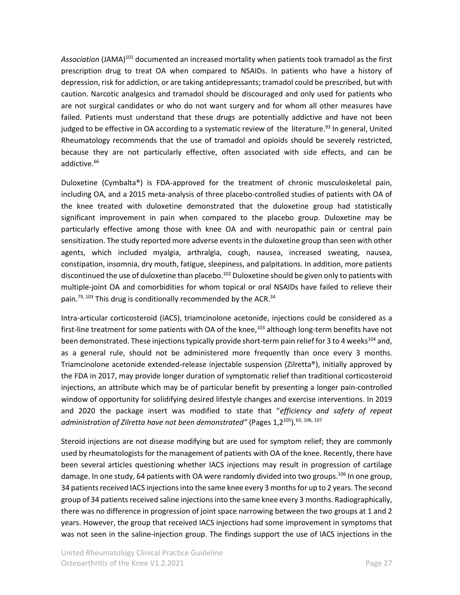Association (JAMA)<sup>101</sup> documented an increased mortality when patients took tramadol as the first prescription drug to treat OA when compared to NSAIDs. In patients who have a history of depression, risk for addiction, or are taking antidepressants; tramadol could be prescribed, but with caution. Narcotic analgesics and tramadol should be discouraged and only used for patients who are not surgical candidates or who do not want surgery and for whom all other measures have failed. Patients must understand that these drugs are potentially addictive and have not been judged to be effective in OA according to a systematic review of the literature.<sup>93</sup> In general, United Rheumatology recommends that the use of tramadol and opioids should be severely restricted, because they are not particularly effective, often associated with side effects, and can be addictive.<sup>66</sup>

Duloxetine (Cymbalta®) is FDA-approved for the treatment of chronic musculoskeletal pain, including OA, and a 2015 meta-analysis of three placebo-controlled studies of patients with OA of the knee treated with duloxetine demonstrated that the duloxetine group had statistically significant improvement in pain when compared to the placebo group. Duloxetine may be particularly effective among those with knee OA and with neuropathic pain or central pain sensitization. The study reported more adverse events in the duloxetine group than seen with other agents, which included myalgia, arthralgia, cough, nausea, increased sweating, nausea, constipation, insomnia, dry mouth, fatigue, sleepiness, and palpitations. In addition, more patients discontinued the use of duloxetine than placebo.<sup>102</sup> Duloxetine should be given only to patients with multiple-joint OA and comorbidities for whom topical or oral NSAIDs have failed to relieve their pain.<sup>79, 103</sup> This drug is conditionally recommended by the ACR.<sup>34</sup>

Intra-articular corticosteroid (IACS), triamcinolone acetonide, injections could be considered as a first-line treatment for some patients with OA of the knee,<sup>103</sup> although long-term benefits have not been demonstrated. These injections typically provide short-term pain relief for 3 to 4 weeks<sup>104</sup> and, as a general rule, should not be administered more frequently than once every 3 months. Triamcinolone acetonide extended-release injectable suspension (Zilretta®), initially approved by the FDA in 2017, may provide longer duration of symptomatic relief than traditional corticosteroid injections, an attribute which may be of particular benefit by presenting a longer pain-controlled window of opportunity for solidifying desired lifestyle changes and exercise interventions. In 2019 and 2020 the package insert was modified to state that "*efficiency and safety of repeat administration of Zilretta have not been demonstrated"* (Pages 1,2<sup>105</sup>).63, 106, 107

Steroid injections are not disease modifying but are used for symptom relief; they are commonly used by rheumatologists for the management of patients with OA of the knee. Recently, there have been several articles questioning whether IACS injections may result in progression of cartilage damage. In one study, 64 patients with OA were randomly divided into two groups.<sup>106</sup> In one group, 34 patients received IACS injections into the same knee every 3 months for up to 2 years. The second group of 34 patients received saline injectionsinto the same knee every 3 months. Radiographically, there was no difference in progression of joint space narrowing between the two groups at 1 and 2 years. However, the group that received IACS injections had some improvement in symptoms that was not seen in the saline-injection group. The findings support the use of IACS injections in the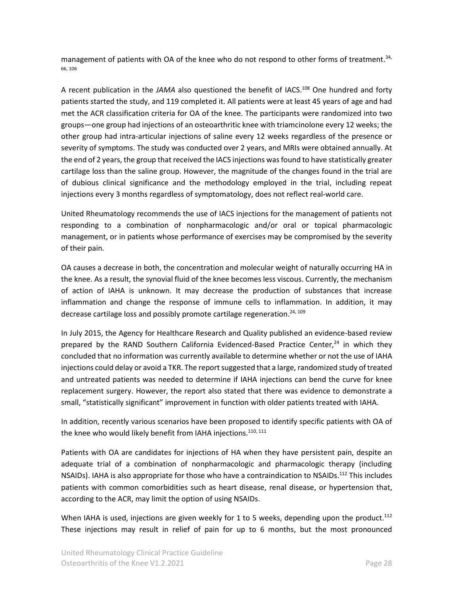management of patients with OA of the knee who do not respond to other forms of treatment.<sup>34,</sup> 66, 106

A recent publication in the *JAMA* also questioned the benefit of IACS. <sup>108</sup> One hundred and forty patients started the study, and 119 completed it. All patients were at least 45 years of age and had met the ACR classification criteria for OA of the knee. The participants were randomized into two groups—one group had injections of an osteoarthritic knee with triamcinolone every 12 weeks; the other group had intra-articular injections of saline every 12 weeks regardless of the presence or severity of symptoms. The study was conducted over 2 years, and MRIs were obtained annually. At the end of 2 years, the group that received the IACS injections wasfound to have statistically greater cartilage loss than the saline group. However, the magnitude of the changes found in the trial are of dubious clinical significance and the methodology employed in the trial, including repeat injections every 3 months regardless of symptomatology, does not reflect real-world care.

United Rheumatology recommends the use of IACS injections for the management of patients not responding to a combination of nonpharmacologic and/or oral or topical pharmacologic management, or in patients whose performance of exercises may be compromised by the severity of their pain.

OA causes a decrease in both, the concentration and molecular weight of naturally occurring HA in the knee. As a result, the synovial fluid of the knee becomes less viscous. Currently, the mechanism of action of IAHA is unknown. It may decrease the production of substances that increase inflammation and change the response of immune cells to inflammation. In addition, it may decrease cartilage loss and possibly promote cartilage regeneration.<sup>24, 109</sup>

In July 2015, the Agency for Healthcare Research and Quality published an evidence-based review prepared by the RAND Southern California Evidenced-Based Practice Center,<sup>24</sup> in which they concluded that no information was currently available to determine whether or not the use of IAHA injections could delay or avoid a TKR. The report suggested that a large, randomized study of treated and untreated patients was needed to determine if IAHA injections can bend the curve for knee replacement surgery. However, the report also stated that there was evidence to demonstrate a small, "statistically significant" improvement in function with older patients treated with IAHA.

In addition, recently various scenarios have been proposed to identify specific patients with OA of the knee who would likely benefit from IAHA injections. $^{\rm 110, \, 111}$ 

Patients with OA are candidates for injections of HA when they have persistent pain, despite an adequate trial of a combination of nonpharmacologic and pharmacologic therapy (including NSAIDs). IAHA is also appropriate for those who have a contraindication to NSAIDs.<sup>112</sup> This includes patients with common comorbidities such as heart disease, renal disease, or hypertension that, according to the ACR, may limit the option of using NSAIDs.

When IAHA is used, injections are given weekly for 1 to 5 weeks, depending upon the product.<sup>112</sup> These injections may result in relief of pain for up to 6 months, but the most pronounced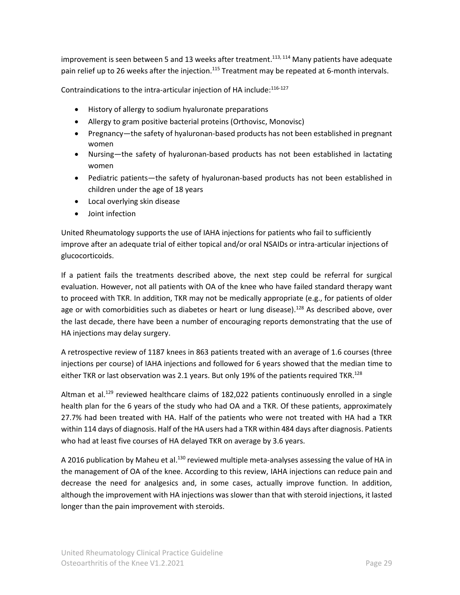improvement is seen between 5 and 13 weeks after treatment.<sup>113, 114</sup> Many patients have adequate pain relief up to 26 weeks after the injection.<sup>115</sup> Treatment may be repeated at 6-month intervals.

Contraindications to the intra-articular injection of HA include:<sup>116-127</sup>

- History of allergy to sodium hyaluronate preparations
- Allergy to gram positive bacterial proteins (Orthovisc, Monovisc)
- Pregnancy—the safety of hyaluronan-based products has not been established in pregnant women
- Nursing—the safety of hyaluronan-based products has not been established in lactating women
- Pediatric patients—the safety of hyaluronan-based products has not been established in children under the age of 18 years
- Local overlying skin disease
- Joint infection

United Rheumatology supports the use of IAHA injections for patients who fail to sufficiently improve after an adequate trial of either topical and/or oral NSAIDs or intra-articular injections of glucocorticoids.

If a patient fails the treatments described above, the next step could be referral for surgical evaluation. However, not all patients with OA of the knee who have failed standard therapy want to proceed with TKR. In addition, TKR may not be medically appropriate (e.g., for patients of older age or with comorbidities such as diabetes or heart or lung disease).<sup>128</sup> As described above, over the last decade, there have been a number of encouraging reports demonstrating that the use of HA injections may delay surgery.

A retrospective review of 1187 knees in 863 patients treated with an average of 1.6 courses (three injections per course) of IAHA injections and followed for 6 years showed that the median time to either TKR or last observation was 2.1 years. But only 19% of the patients required TKR.<sup>128</sup>

Altman et al.<sup>129</sup> reviewed healthcare claims of 182,022 patients continuously enrolled in a single health plan for the 6 years of the study who had OA and a TKR. Of these patients, approximately 27.7% had been treated with HA. Half of the patients who were not treated with HA had a TKR within 114 days of diagnosis. Half of the HA users had a TKR within 484 days after diagnosis. Patients who had at least five courses of HA delayed TKR on average by 3.6 years.

A 2016 publication by Maheu et al.<sup>130</sup> reviewed multiple meta-analyses assessing the value of HA in the management of OA of the knee. According to this review, IAHA injections can reduce pain and decrease the need for analgesics and, in some cases, actually improve function. In addition, although the improvement with HA injections was slower than that with steroid injections, it lasted longer than the pain improvement with steroids.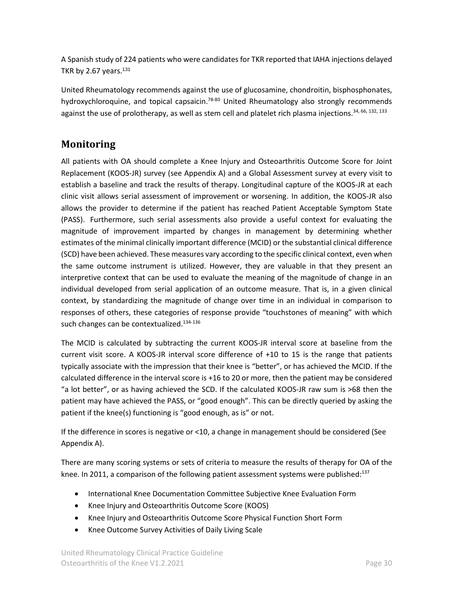A Spanish study of 224 patients who were candidates for TKR reported that IAHA injections delayed TKR by 2.67 years. $131$ 

United Rheumatology recommends against the use of glucosamine, chondroitin, bisphosphonates, hydroxychloroquine, and topical capsaicin.<sup>78-80</sup> United Rheumatology also strongly recommends against the use of prolotherapy, as well as stem cell and platelet rich plasma injections.<sup>34, 66, 132, 133</sup>

# <span id="page-29-0"></span>**Monitoring**

All patients with OA should complete a Knee Injury and Osteoarthritis Outcome Score for Joint Replacement (KOOS-JR) survey (see Appendix A) and a Global Assessment survey at every visit to establish a baseline and track the results of therapy. Longitudinal capture of the KOOS-JR at each clinic visit allows serial assessment of improvement or worsening. In addition, the KOOS-JR also allows the provider to determine if the patient has reached Patient Acceptable Symptom State (PASS). Furthermore, such serial assessments also provide a useful context for evaluating the magnitude of improvement imparted by changes in management by determining whether estimates of the minimal clinically important difference (MCID) or the substantial clinical difference (SCD) have been achieved. These measures vary according to the specific clinical context, even when the same outcome instrument is utilized. However, they are valuable in that they present an interpretive context that can be used to evaluate the meaning of the magnitude of change in an individual developed from serial application of an outcome measure. That is, in a given clinical context, by standardizing the magnitude of change over time in an individual in comparison to responses of others, these categories of response provide "touchstones of meaning" with which such changes can be contextualized.<sup>134-136</sup>

The MCID is calculated by subtracting the current KOOS-JR interval score at baseline from the current visit score. A KOOS-JR interval score difference of +10 to 15 is the range that patients typically associate with the impression that their knee is "better", or has achieved the MCID. If the calculated difference in the interval score is +16 to 20 or more, then the patient may be considered "a lot better", or as having achieved the SCD. If the calculated KOOS-JR raw sum is >68 then the patient may have achieved the PASS, or "good enough". This can be directly queried by asking the patient if the knee(s) functioning is "good enough, as is" or not.

If the difference in scores is negative or <10, a change in management should be considered (See [Appendix A\)](#page-34-0).

There are many scoring systems or sets of criteria to measure the results of therapy for OA of the knee. In 2011, a comparison of the following patient assessment systems were published:<sup>137</sup>

- International Knee Documentation Committee Subjective Knee Evaluation Form
- Knee Injury and Osteoarthritis Outcome Score (KOOS)
- Knee Injury and Osteoarthritis Outcome Score Physical Function Short Form
- Knee Outcome Survey Activities of Daily Living Scale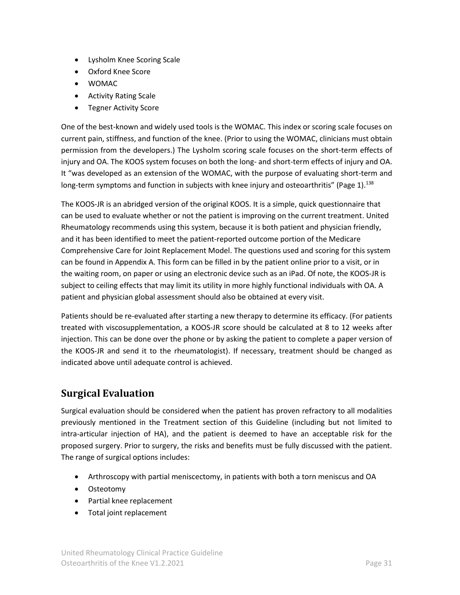- Lysholm Knee Scoring Scale
- Oxford Knee Score
- WOMAC
- Activity Rating Scale
- Tegner Activity Score

One of the best-known and widely used tools is the WOMAC. This index or scoring scale focuses on current pain, stiffness, and function of the knee. (Prior to using the WOMAC, clinicians must obtain permission from the developers.) The Lysholm scoring scale focuses on the short-term effects of injury and OA. The KOOS system focuses on both the long- and short-term effects of injury and OA. It "was developed as an extension of the WOMAC, with the purpose of evaluating short-term and long-term symptoms and function in subjects with knee injury and osteoarthritis" (Page 1).<sup>138</sup>

The KOOS-JR is an abridged version of the original KOOS. It is a simple, quick questionnaire that can be used to evaluate whether or not the patient is improving on the current treatment. United Rheumatology recommends using this system, because it is both patient and physician friendly, and it has been identified to meet the patient-reported outcome portion of the Medicare Comprehensive Care for Joint Replacement Model. The questions used and scoring for this system can be found in [Appendix A.](#page-34-0) This form can be filled in by the patient online prior to a visit, or in the waiting room, on paper or using an electronic device such as an iPad. Of note, the KOOS-JR is subject to ceiling effects that may limit its utility in more highly functional individuals with OA. A patient and physician global assessment should also be obtained at every visit.

Patients should be re-evaluated after starting a new therapy to determine its efficacy. (For patients treated with viscosupplementation, a KOOS-JR score should be calculated at 8 to 12 weeks after injection. This can be done over the phone or by asking the patient to complete a paper version of the KOOS-JR and send it to the rheumatologist). If necessary, treatment should be changed as indicated above until adequate control is achieved.

# <span id="page-30-0"></span>**Surgical Evaluation**

Surgical evaluation should be considered when the patient has proven refractory to all modalities previously mentioned in the Treatment section of this Guideline (including but not limited to intra-articular injection of HA), and the patient is deemed to have an acceptable risk for the proposed surgery. Prior to surgery, the risks and benefits must be fully discussed with the patient. The range of surgical options includes:

- Arthroscopy with partial meniscectomy, in patients with both a torn meniscus and OA
- Osteotomy
- Partial knee replacement
- Total joint replacement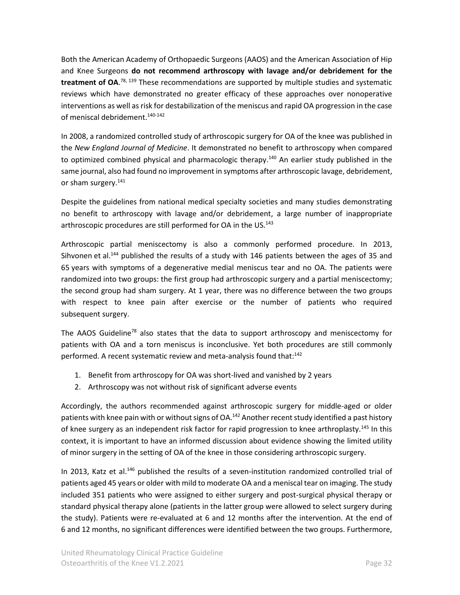Both the American Academy of Orthopaedic Surgeons (AAOS) and the American Association of Hip and Knee Surgeons **do not recommend arthroscopy with lavage and/or debridement for the treatment of OA**. 78, 139 These recommendations are supported by multiple studies and systematic reviews which have demonstrated no greater efficacy of these approaches over nonoperative interventions as well as risk for destabilization of the meniscus and rapid OA progression in the case of meniscal debridement. 140-142

In 2008, a randomized controlled study of arthroscopic surgery for OA of the knee was published in the *New England Journal of Medicine*. It demonstrated no benefit to arthroscopy when compared to optimized combined physical and pharmacologic therapy.<sup>140</sup> An earlier study published in the same journal, also had found no improvement in symptoms after arthroscopic lavage, debridement, or sham surgery.<sup>141</sup>

Despite the guidelines from national medical specialty societies and many studies demonstrating no benefit to arthroscopy with lavage and/or debridement, a large number of inappropriate arthroscopic procedures are still performed for OA in the US.<sup>143</sup>

Arthroscopic partial meniscectomy is also a commonly performed procedure. In 2013, Sihvonen et al.<sup>144</sup> published the results of a study with 146 patients between the ages of 35 and 65 years with symptoms of a degenerative medial meniscus tear and no OA. The patients were randomized into two groups: the first group had arthroscopic surgery and a partial meniscectomy; the second group had sham surgery. At 1 year, there was no difference between the two groups with respect to knee pain after exercise or the number of patients who required subsequent surgery.

The AAOS Guideline<sup>78</sup> also states that the data to support arthroscopy and meniscectomy for patients with OA and a torn meniscus is inconclusive. Yet both procedures are still commonly performed. A recent systematic review and meta-analysis found that:<sup>142</sup>

- 1. Benefit from arthroscopy for OA was short-lived and vanished by 2 years
- 2. Arthroscopy was not without risk of significant adverse events

Accordingly, the authors recommended against arthroscopic surgery for middle-aged or older patients with knee pain with or without signs of OA.<sup>142</sup> Another recent study identified a past history of knee surgery as an independent risk factor for rapid progression to knee arthroplasty.<sup>145</sup> In this context, it is important to have an informed discussion about evidence showing the limited utility of minor surgery in the setting of OA of the knee in those considering arthroscopic surgery.

In 2013, Katz et al.<sup>146</sup> published the results of a seven-institution randomized controlled trial of patients aged 45 years or older with mild to moderate OA and a meniscal tear on imaging. The study included 351 patients who were assigned to either surgery and post-surgical physical therapy or standard physical therapy alone (patients in the latter group were allowed to select surgery during the study). Patients were re-evaluated at 6 and 12 months after the intervention. At the end of 6 and 12 months, no significant differences were identified between the two groups. Furthermore,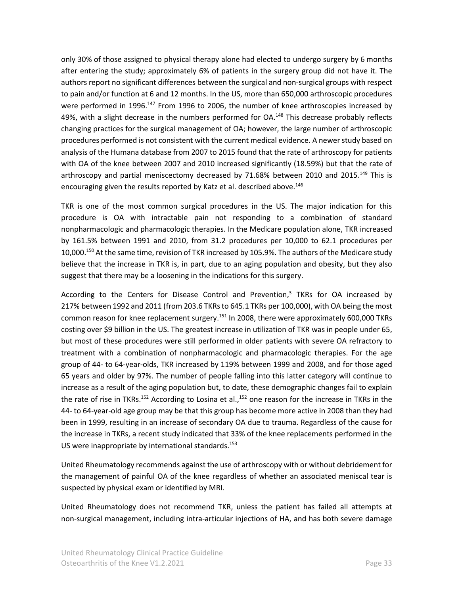only 30% of those assigned to physical therapy alone had elected to undergo surgery by 6 months after entering the study; approximately 6% of patients in the surgery group did not have it. The authors report no significant differences between the surgical and non-surgical groups with respect to pain and/or function at 6 and 12 months. In the US, more than 650,000 arthroscopic procedures were performed in 1996.<sup>147</sup> From 1996 to 2006, the number of knee arthroscopies increased by 49%, with a slight decrease in the numbers performed for OA.<sup>148</sup> This decrease probably reflects changing practices for the surgical management of OA; however, the large number of arthroscopic procedures performed is not consistent with the current medical evidence. A newer study based on analysis of the Humana database from 2007 to 2015 found that the rate of arthroscopy for patients with OA of the knee between 2007 and 2010 increased significantly (18.59%) but that the rate of arthroscopy and partial meniscectomy decreased by 71.68% between 2010 and 2015.<sup>149</sup> This is encouraging given the results reported by Katz et al. described above.<sup>146</sup>

TKR is one of the most common surgical procedures in the US. The major indication for this procedure is OA with intractable pain not responding to a combination of standard nonpharmacologic and pharmacologic therapies. In the Medicare population alone, TKR increased by 161.5% between 1991 and 2010, from 31.2 procedures per 10,000 to 62.1 procedures per 10,000.<sup>150</sup> At the same time, revision of TKR increased by 105.9%. The authors of the Medicare study believe that the increase in TKR is, in part, due to an aging population and obesity, but they also suggest that there may be a loosening in the indications for this surgery.

According to the Centers for Disease Control and Prevention,<sup>3</sup> TKRs for OA increased by 217% between 1992 and 2011 (from 203.6 TKRs to 645.1 TKRs per 100,000), with OA being the most common reason for knee replacement surgery.<sup>151</sup> In 2008, there were approximately 600,000 TKRs costing over \$9 billion in the US. The greatest increase in utilization of TKR was in people under 65, but most of these procedures were still performed in older patients with severe OA refractory to treatment with a combination of nonpharmacologic and pharmacologic therapies. For the age group of 44- to 64-year-olds, TKR increased by 119% between 1999 and 2008, and for those aged 65 years and older by 97%. The number of people falling into this latter category will continue to increase as a result of the aging population but, to date, these demographic changes fail to explain the rate of rise in TKRs.<sup>152</sup> According to Losina et al.,<sup>152</sup> one reason for the increase in TKRs in the 44- to 64-year-old age group may be that this group has become more active in 2008 than they had been in 1999, resulting in an increase of secondary OA due to trauma. Regardless of the cause for the increase in TKRs, a recent study indicated that 33% of the knee replacements performed in the US were inappropriate by international standards.<sup>153</sup>

United Rheumatology recommends against the use of arthroscopy with or without debridement for the management of painful OA of the knee regardless of whether an associated meniscal tear is suspected by physical exam or identified by MRI.

United Rheumatology does not recommend TKR, unless the patient has failed all attempts at non-surgical management, including intra-articular injections of HA, and has both severe damage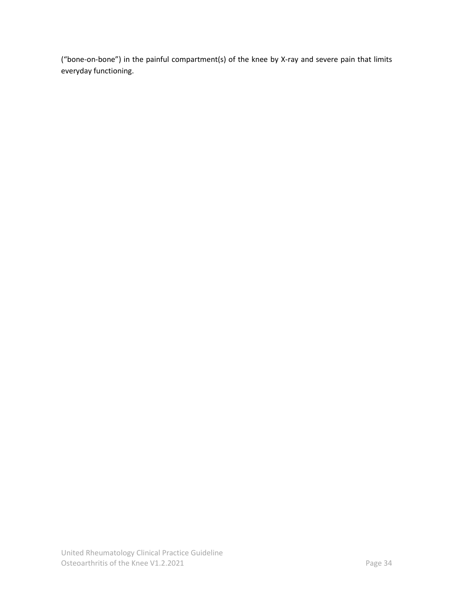("bone-on-bone") in the painful compartment(s) of the knee by X-ray and severe pain that limits everyday functioning.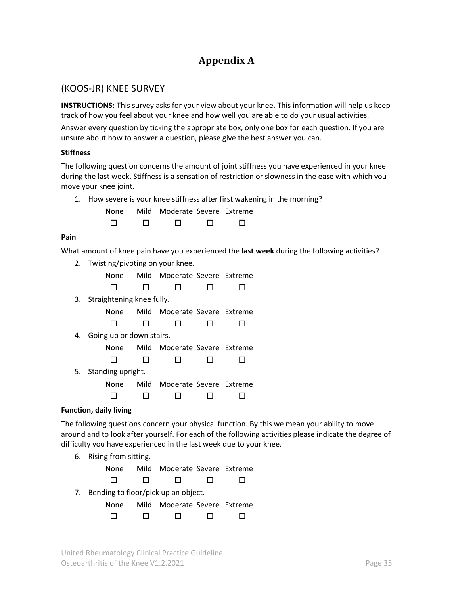# **Appendix A**

### <span id="page-34-1"></span><span id="page-34-0"></span>(KOOS-JR) KNEE SURVEY

**INSTRUCTIONS:** This survey asks for your view about your knee. This information will help us keep track of how you feel about your knee and how well you are able to do your usual activities.

Answer every question by ticking the appropriate box, only one box for each question. If you are unsure about how to answer a question, please give the best answer you can.

#### **Stiffness**

The following question concerns the amount of joint stiffness you have experienced in your knee during the last week. Stiffness is a sensation of restriction or slowness in the ease with which you move your knee joint.

1. How severe is your knee stiffness after first wakening in the morning?

None Mild Moderate Severe Extreme

#### **Pain**

What amount of knee pain have you experienced the **last week** during the following activities?

2. Twisting/pivoting on your knee.

None Mild Moderate Severe Extreme

3. Straightening knee fully.

None Mild Moderate Severe Extreme

4. Going up or down stairs.

None Mild Moderate Severe Extreme

5. Standing upright.

None Mild Moderate Severe Extreme

#### **Function, daily living**

The following questions concern your physical function. By this we mean your ability to move around and to look after yourself. For each of the following activities please indicate the degree of difficulty you have experienced in the last week due to your knee.

6. Rising from sitting.

None Mild Moderate Severe Extreme

- 
- 7. Bending to floor/pick up an object.

| None   |        | Mild Moderate Severe Extreme |   |        |
|--------|--------|------------------------------|---|--------|
| $\Box$ | $\Box$ | $\Box$                       | П | $\Box$ |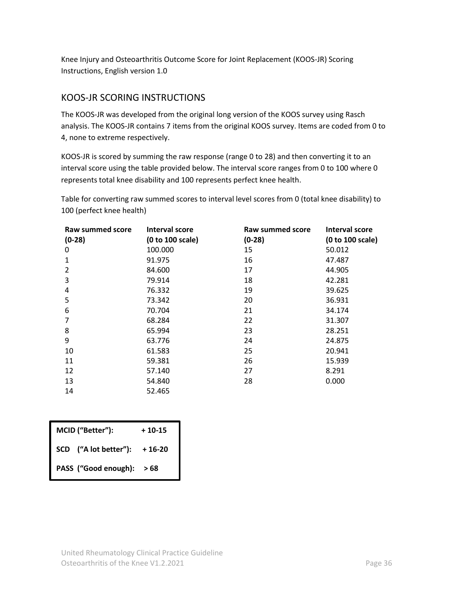Knee Injury and Osteoarthritis Outcome Score for Joint Replacement (KOOS-JR) Scoring Instructions, English version 1.0

### <span id="page-35-0"></span>KOOS-JR SCORING INSTRUCTIONS

The KOOS-JR was developed from the original long version of the KOOS survey using Rasch analysis. The KOOS-JR contains 7 items from the original KOOS survey. Items are coded from 0 to 4, none to extreme respectively.

KOOS-JR is scored by summing the raw response (range 0 to 28) and then converting it to an interval score using the table provided below. The interval score ranges from 0 to 100 where 0 represents total knee disability and 100 represents perfect knee health.

Table for converting raw summed scores to interval level scores from 0 (total knee disability) to 100 (perfect knee health)

| <b>Raw summed score</b> | Interval score   | Raw summed score | Interval score   |
|-------------------------|------------------|------------------|------------------|
| $(0-28)$                | (0 to 100 scale) | $(0-28)$         | (0 to 100 scale) |
| 0                       | 100.000          | 15               | 50.012           |
| $\mathbf{1}$            | 91.975           | 16               | 47.487           |
| 2                       | 84.600           | 17               | 44.905           |
| 3                       | 79.914           | 18               | 42.281           |
| 4                       | 76.332           | 19               | 39.625           |
| 5                       | 73.342           | 20               | 36.931           |
| 6                       | 70.704           | 21               | 34.174           |
| 7                       | 68.284           | 22               | 31.307           |
| 8                       | 65.994           | 23               | 28.251           |
| 9                       | 63.776           | 24               | 24.875           |
| 10                      | 61.583           | 25               | 20.941           |
| 11                      | 59.381           | 26               | 15.939           |
| 12                      | 57.140           | 27               | 8.291            |
| 13                      | 54.840           | 28               | 0.000            |
| 14                      | 52.465           |                  |                  |

| MCID ("Better"): |                       | $+10-15$ |
|------------------|-----------------------|----------|
|                  | SCD ("A lot better"): | $+16-20$ |
|                  | PASS ("Good enough):  | >68      |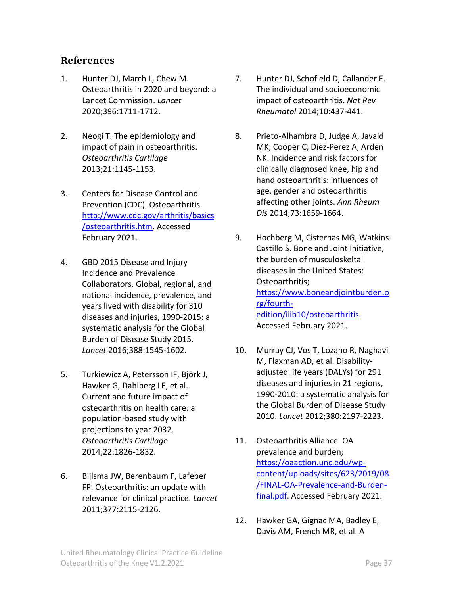# <span id="page-36-0"></span>**References**

- 1. Hunter DJ, March L, Chew M. Osteoarthritis in 2020 and beyond: a Lancet Commission. *Lancet*  2020;396:1711-1712.
- 2. Neogi T. The epidemiology and impact of pain in osteoarthritis. *Osteoarthritis Cartilage*  2013;21:1145-1153.
- 3. Centers for Disease Control and Prevention (CDC). Osteoarthritis. [http://www.cdc.gov/arthritis/basics](http://www.cdc.gov/arthritis/basics/osteoarthritis.htm) [/osteoarthritis.htm.](http://www.cdc.gov/arthritis/basics/osteoarthritis.htm) Accessed February 2021.
- 4. GBD 2015 Disease and Injury Incidence and Prevalence Collaborators. Global, regional, and national incidence, prevalence, and years lived with disability for 310 diseases and injuries, 1990-2015: a systematic analysis for the Global Burden of Disease Study 2015. *Lancet* 2016;388:1545-1602.
- 5. Turkiewicz A, Petersson IF, Björk J, Hawker G, Dahlberg LE, et al. Current and future impact of osteoarthritis on health care: a population-based study with projections to year 2032. *Osteoarthritis Cartilage*  2014;22:1826-1832.
- 6. Bijlsma JW, Berenbaum F, Lafeber FP. Osteoarthritis: an update with relevance for clinical practice. *Lancet*  2011;377:2115-2126.
- 7. Hunter DJ, Schofield D, Callander E. The individual and socioeconomic impact of osteoarthritis. *Nat Rev Rheumatol* 2014;10:437-441.
- 8. Prieto-Alhambra D, Judge A, Javaid MK, Cooper C, Diez-Perez A, Arden NK. Incidence and risk factors for clinically diagnosed knee, hip and hand osteoarthritis: influences of age, gender and osteoarthritis affecting other joints. *Ann Rheum Dis* 2014;73:1659-1664.
- 9. Hochberg M, Cisternas MG, Watkins-Castillo S. Bone and Joint Initiative, the burden of musculoskeltal diseases in the United States: Osteoarthritis; [https://www.boneandjointburden.o](https://www.boneandjointburden.org/fourth-edition/iiib10/osteoarthritis) [rg/fourth](https://www.boneandjointburden.org/fourth-edition/iiib10/osteoarthritis)[edition/iiib10/osteoarthritis.](https://www.boneandjointburden.org/fourth-edition/iiib10/osteoarthritis) Accessed February 2021.
- 10. Murray CJ, Vos T, Lozano R, Naghavi M, Flaxman AD, et al. Disabilityadjusted life years (DALYs) for 291 diseases and injuries in 21 regions, 1990-2010: a systematic analysis for the Global Burden of Disease Study 2010. *Lancet* 2012;380:2197-2223.
- 11. Osteoarthritis Alliance. OA prevalence and burden; [https://oaaction.unc.edu/wp](https://oaaction.unc.edu/wp-content/uploads/sites/623/2019/08/FINAL-OA-Prevalence-and-Burden-final.pdf)[content/uploads/sites/623/2019/08](https://oaaction.unc.edu/wp-content/uploads/sites/623/2019/08/FINAL-OA-Prevalence-and-Burden-final.pdf) [/FINAL-OA-Prevalence-and-Burden](https://oaaction.unc.edu/wp-content/uploads/sites/623/2019/08/FINAL-OA-Prevalence-and-Burden-final.pdf)[final.pdf.](https://oaaction.unc.edu/wp-content/uploads/sites/623/2019/08/FINAL-OA-Prevalence-and-Burden-final.pdf) Accessed February 2021.
- 12. Hawker GA, Gignac MA, Badley E, Davis AM, French MR, et al. A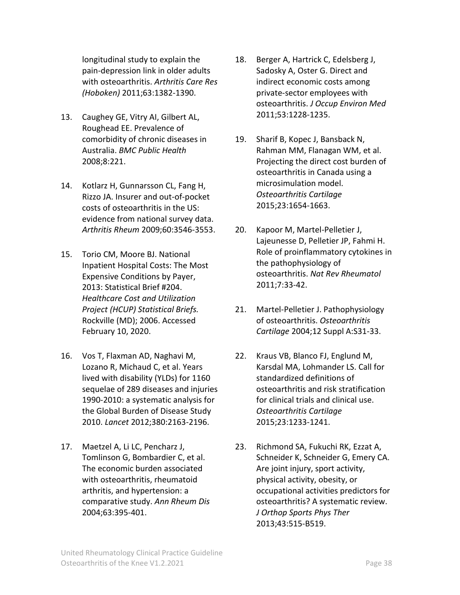longitudinal study to explain the pain-depression link in older adults with osteoarthritis. *Arthritis Care Res (Hoboken)* 2011;63:1382-1390.

- 13. Caughey GE, Vitry AI, Gilbert AL, Roughead EE. Prevalence of comorbidity of chronic diseases in Australia. *BMC Public Health*  2008;8:221.
- 14. Kotlarz H, Gunnarsson CL, Fang H, Rizzo JA. Insurer and out-of-pocket costs of osteoarthritis in the US: evidence from national survey data. *Arthritis Rheum* 2009;60:3546-3553.
- 15. Torio CM, Moore BJ. National Inpatient Hospital Costs: The Most Expensive Conditions by Payer, 2013: Statistical Brief #204. *Healthcare Cost and Utilization Project (HCUP) Statistical Briefs.* Rockville (MD); 2006. Accessed February 10, 2020.
- 16. Vos T, Flaxman AD, Naghavi M, Lozano R, Michaud C, et al. Years lived with disability (YLDs) for 1160 sequelae of 289 diseases and injuries 1990-2010: a systematic analysis for the Global Burden of Disease Study 2010. *Lancet* 2012;380:2163-2196.
- 17. Maetzel A, Li LC, Pencharz J, Tomlinson G, Bombardier C, et al. The economic burden associated with osteoarthritis, rheumatoid arthritis, and hypertension: a comparative study. *Ann Rheum Dis*  2004;63:395-401.
- 18. Berger A, Hartrick C, Edelsberg J, Sadosky A, Oster G. Direct and indirect economic costs among private-sector employees with osteoarthritis. *J Occup Environ Med*  2011;53:1228-1235.
- 19. Sharif B, Kopec J, Bansback N, Rahman MM, Flanagan WM, et al. Projecting the direct cost burden of osteoarthritis in Canada using a microsimulation model. *Osteoarthritis Cartilage*  2015;23:1654-1663.
- 20. Kapoor M, Martel-Pelletier J, Lajeunesse D, Pelletier JP, Fahmi H. Role of proinflammatory cytokines in the pathophysiology of osteoarthritis. *Nat Rev Rheumatol*  2011;7:33-42.
- 21. Martel-Pelletier J. Pathophysiology of osteoarthritis. *Osteoarthritis Cartilage* 2004;12 Suppl A:S31-33.
- 22. Kraus VB, Blanco FJ, Englund M, Karsdal MA, Lohmander LS. Call for standardized definitions of osteoarthritis and risk stratification for clinical trials and clinical use. *Osteoarthritis Cartilage*  2015;23:1233-1241.
- 23. Richmond SA, Fukuchi RK, Ezzat A, Schneider K, Schneider G, Emery CA. Are joint injury, sport activity, physical activity, obesity, or occupational activities predictors for osteoarthritis? A systematic review. *J Orthop Sports Phys Ther*  2013;43:515-B519.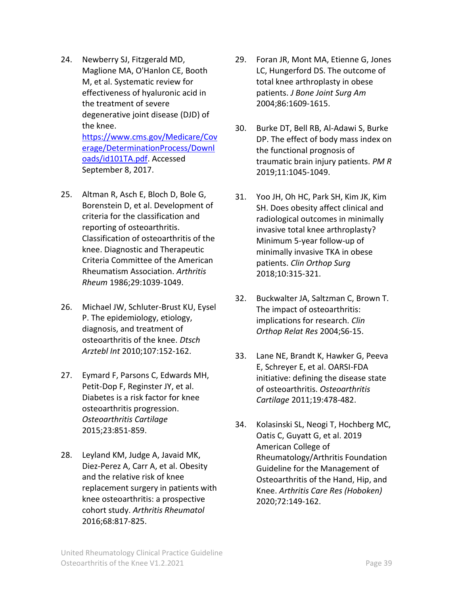- 24. Newberry SJ, Fitzgerald MD, Maglione MA, O'Hanlon CE, Booth M, et al. Systematic review for effectiveness of hyaluronic acid in the treatment of severe degenerative joint disease (DJD) of the knee. [https://www.cms.gov/Medicare/Cov](https://www.cms.gov/Medicare/Coverage/DeterminationProcess/Downloads/id101TA.pdf) [erage/DeterminationProcess/Downl](https://www.cms.gov/Medicare/Coverage/DeterminationProcess/Downloads/id101TA.pdf) [oads/id101TA.pdf.](https://www.cms.gov/Medicare/Coverage/DeterminationProcess/Downloads/id101TA.pdf) Accessed September 8, 2017.
- 25. Altman R, Asch E, Bloch D, Bole G, Borenstein D, et al. Development of criteria for the classification and reporting of osteoarthritis. Classification of osteoarthritis of the knee. Diagnostic and Therapeutic Criteria Committee of the American Rheumatism Association. *Arthritis Rheum* 1986;29:1039-1049.
- 26. Michael JW, Schluter-Brust KU, Eysel P. The epidemiology, etiology, diagnosis, and treatment of osteoarthritis of the knee. *Dtsch Arztebl Int* 2010;107:152-162.
- 27. Eymard F, Parsons C, Edwards MH, Petit-Dop F, Reginster JY, et al. Diabetes is a risk factor for knee osteoarthritis progression. *Osteoarthritis Cartilage*  2015;23:851-859.
- 28. Leyland KM, Judge A, Javaid MK, Diez-Perez A, Carr A, et al. Obesity and the relative risk of knee replacement surgery in patients with knee osteoarthritis: a prospective cohort study. *Arthritis Rheumatol*  2016;68:817-825.
- 29. Foran JR, Mont MA, Etienne G, Jones LC, Hungerford DS. The outcome of total knee arthroplasty in obese patients. *J Bone Joint Surg Am*  2004;86:1609-1615.
- 30. Burke DT, Bell RB, Al-Adawi S, Burke DP. The effect of body mass index on the functional prognosis of traumatic brain injury patients. *PM R*  2019;11:1045-1049.
- 31. Yoo JH, Oh HC, Park SH, Kim JK, Kim SH. Does obesity affect clinical and radiological outcomes in minimally invasive total knee arthroplasty? Minimum 5-year follow-up of minimally invasive TKA in obese patients. *Clin Orthop Surg*  2018;10:315-321.
- 32. Buckwalter JA, Saltzman C, Brown T. The impact of osteoarthritis: implications for research. *Clin Orthop Relat Res* 2004;S6-15.
- 33. Lane NE, Brandt K, Hawker G, Peeva E, Schreyer E, et al. OARSI-FDA initiative: defining the disease state of osteoarthritis. *Osteoarthritis Cartilage* 2011;19:478-482.
- 34. Kolasinski SL, Neogi T, Hochberg MC, Oatis C, Guyatt G, et al. 2019 American College of Rheumatology/Arthritis Foundation Guideline for the Management of Osteoarthritis of the Hand, Hip, and Knee. *Arthritis Care Res (Hoboken)*  2020;72:149-162.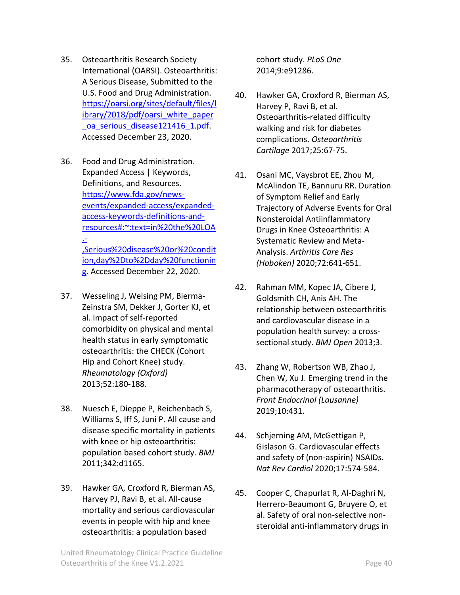- 35. Osteoarthritis Research Society International (OARSI). Osteoarthritis: A Serious Disease, Submitted to the U.S. Food and Drug Administration. [https://oarsi.org/sites/default/files/l](https://oarsi.org/sites/default/files/library/2018/pdf/oarsi_white_paper_oa_serious_disease121416_1.pdf) [ibrary/2018/pdf/oarsi\\_white\\_paper](https://oarsi.org/sites/default/files/library/2018/pdf/oarsi_white_paper_oa_serious_disease121416_1.pdf) oa serious disease121416 1.pdf. Accessed December 23, 2020.
- 36. Food and Drug Administration. Expanded Access | Keywords, Definitions, and Resources. [https://www.fda.gov/news](https://www.fda.gov/news-events/expanded-access/expanded-access-keywords-definitions-and-resources#:~:text=in%20the%20LOA.-,Serious%20disease%20or%20condition,day%2Dto%2Dday%20functioning)[events/expanded-access/expanded](https://www.fda.gov/news-events/expanded-access/expanded-access-keywords-definitions-and-resources#:~:text=in%20the%20LOA.-,Serious%20disease%20or%20condition,day%2Dto%2Dday%20functioning)[access-keywords-definitions-and](https://www.fda.gov/news-events/expanded-access/expanded-access-keywords-definitions-and-resources#:~:text=in%20the%20LOA.-,Serious%20disease%20or%20condition,day%2Dto%2Dday%20functioning)[resources#:~:text=in%20the%20LOA](https://www.fda.gov/news-events/expanded-access/expanded-access-keywords-definitions-and-resources#:~:text=in%20the%20LOA.-,Serious%20disease%20or%20condition,day%2Dto%2Dday%20functioning) [.-](https://www.fda.gov/news-events/expanded-access/expanded-access-keywords-definitions-and-resources#:~:text=in%20the%20LOA.-,Serious%20disease%20or%20condition,day%2Dto%2Dday%20functioning) [,Serious%20disease%20or%20condit](https://www.fda.gov/news-events/expanded-access/expanded-access-keywords-definitions-and-resources#:~:text=in%20the%20LOA.-,Serious%20disease%20or%20condition,day%2Dto%2Dday%20functioning)

[ion,day%2Dto%2Dday%20functionin](https://www.fda.gov/news-events/expanded-access/expanded-access-keywords-definitions-and-resources#:~:text=in%20the%20LOA.-,Serious%20disease%20or%20condition,day%2Dto%2Dday%20functioning) [g.](https://www.fda.gov/news-events/expanded-access/expanded-access-keywords-definitions-and-resources#:~:text=in%20the%20LOA.-,Serious%20disease%20or%20condition,day%2Dto%2Dday%20functioning) Accessed December 22, 2020.

- 37. Wesseling J, Welsing PM, Bierma-Zeinstra SM, Dekker J, Gorter KJ, et al. Impact of self-reported comorbidity on physical and mental health status in early symptomatic osteoarthritis: the CHECK (Cohort Hip and Cohort Knee) study. *Rheumatology (Oxford)*  2013;52:180-188.
- 38. Nuesch E, Dieppe P, Reichenbach S, Williams S, Iff S, Juni P. All cause and disease specific mortality in patients with knee or hip osteoarthritis: population based cohort study. *BMJ*  2011;342:d1165.
- 39. Hawker GA, Croxford R, Bierman AS, Harvey PJ, Ravi B, et al. All-cause mortality and serious cardiovascular events in people with hip and knee osteoarthritis: a population based

cohort study. *PLoS One*  2014;9:e91286.

- 40. Hawker GA, Croxford R, Bierman AS, Harvey P, Ravi B, et al. Osteoarthritis-related difficulty walking and risk for diabetes complications. *Osteoarthritis Cartilage* 2017;25:67-75.
- 41. Osani MC, Vaysbrot EE, Zhou M, McAlindon TE, Bannuru RR. Duration of Symptom Relief and Early Trajectory of Adverse Events for Oral Nonsteroidal Antiinflammatory Drugs in Knee Osteoarthritis: A Systematic Review and Meta-Analysis. *Arthritis Care Res (Hoboken)* 2020;72:641-651.
- 42. Rahman MM, Kopec JA, Cibere J, Goldsmith CH, Anis AH. The relationship between osteoarthritis and cardiovascular disease in a population health survey: a crosssectional study. *BMJ Open* 2013;3.
- 43. Zhang W, Robertson WB, Zhao J, Chen W, Xu J. Emerging trend in the pharmacotherapy of osteoarthritis. *Front Endocrinol (Lausanne)*  2019;10:431.
- 44. Schjerning AM, McGettigan P, Gislason G. Cardiovascular effects and safety of (non-aspirin) NSAIDs. *Nat Rev Cardiol* 2020;17:574-584.
- 45. Cooper C, Chapurlat R, Al-Daghri N, Herrero-Beaumont G, Bruyere O, et al. Safety of oral non-selective nonsteroidal anti-inflammatory drugs in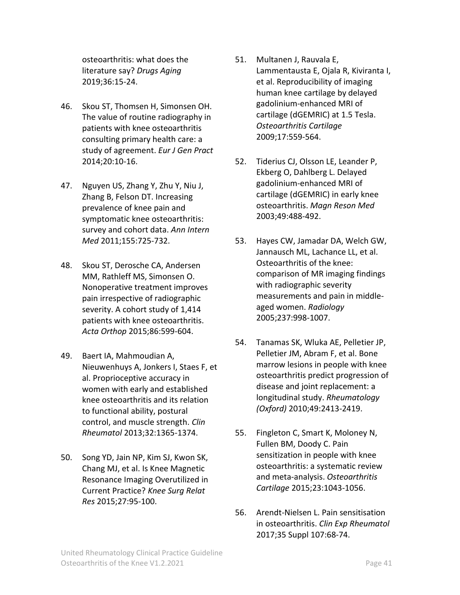osteoarthritis: what does the literature say? *Drugs Aging*  2019;36:15-24.

- 46. Skou ST, Thomsen H, Simonsen OH. The value of routine radiography in patients with knee osteoarthritis consulting primary health care: a study of agreement. *Eur J Gen Pract*  2014;20:10-16.
- 47. Nguyen US, Zhang Y, Zhu Y, Niu J, Zhang B, Felson DT. Increasing prevalence of knee pain and symptomatic knee osteoarthritis: survey and cohort data. *Ann Intern Med* 2011;155:725-732.
- 48. Skou ST, Derosche CA, Andersen MM, Rathleff MS, Simonsen O. Nonoperative treatment improves pain irrespective of radiographic severity. A cohort study of 1,414 patients with knee osteoarthritis. *Acta Orthop* 2015;86:599-604.
- 49. Baert IA, Mahmoudian A, Nieuwenhuys A, Jonkers I, Staes F, et al. Proprioceptive accuracy in women with early and established knee osteoarthritis and its relation to functional ability, postural control, and muscle strength. *Clin Rheumatol* 2013;32:1365-1374.
- 50. Song YD, Jain NP, Kim SJ, Kwon SK, Chang MJ, et al. Is Knee Magnetic Resonance Imaging Overutilized in Current Practice? *Knee Surg Relat Res* 2015;27:95-100.
- 51. Multanen J, Rauvala E, Lammentausta E, Ojala R, Kiviranta I, et al. Reproducibility of imaging human knee cartilage by delayed gadolinium-enhanced MRI of cartilage (dGEMRIC) at 1.5 Tesla. *Osteoarthritis Cartilage*  2009;17:559-564.
- 52. Tiderius CJ, Olsson LE, Leander P, Ekberg O, Dahlberg L. Delayed gadolinium-enhanced MRI of cartilage (dGEMRIC) in early knee osteoarthritis. *Magn Reson Med*  2003;49:488-492.
- 53. Hayes CW, Jamadar DA, Welch GW, Jannausch ML, Lachance LL, et al. Osteoarthritis of the knee: comparison of MR imaging findings with radiographic severity measurements and pain in middleaged women. *Radiology*  2005;237:998-1007.
- 54. Tanamas SK, Wluka AE, Pelletier JP, Pelletier JM, Abram F, et al. Bone marrow lesions in people with knee osteoarthritis predict progression of disease and joint replacement: a longitudinal study. *Rheumatology (Oxford)* 2010;49:2413-2419.
- 55. Fingleton C, Smart K, Moloney N, Fullen BM, Doody C. Pain sensitization in people with knee osteoarthritis: a systematic review and meta-analysis. *Osteoarthritis Cartilage* 2015;23:1043-1056.
- 56. Arendt-Nielsen L. Pain sensitisation in osteoarthritis. *Clin Exp Rheumatol*  2017;35 Suppl 107:68-74.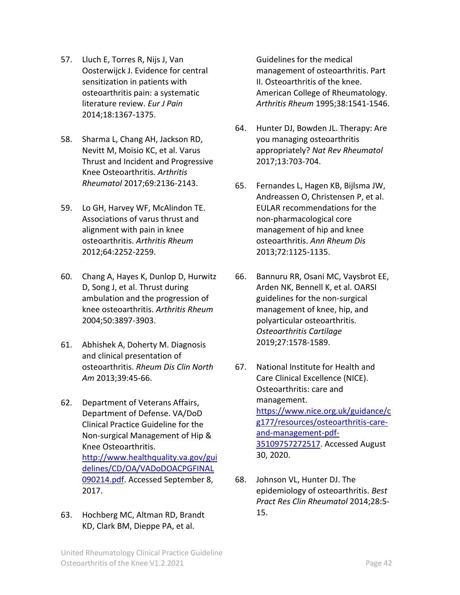- 57. Lluch E, Torres R, Nijs J, Van Oosterwijck J. Evidence for central sensitization in patients with osteoarthritis pain: a systematic literature review. *Eur J Pain*  2014;18:1367-1375.
- 58. Sharma L, Chang AH, Jackson RD, Nevitt M, Moisio KC, et al. Varus Thrust and Incident and Progressive Knee Osteoarthritis. *Arthritis Rheumatol* 2017;69:2136-2143.
- 59. Lo GH, Harvey WF, McAlindon TE. Associations of varus thrust and alignment with pain in knee osteoarthritis. *Arthritis Rheum*  2012;64:2252-2259.
- 60. Chang A, Hayes K, Dunlop D, Hurwitz D, Song J, et al. Thrust during ambulation and the progression of knee osteoarthritis. *Arthritis Rheum*  2004;50:3897-3903.
- 61. Abhishek A, Doherty M. Diagnosis and clinical presentation of osteoarthritis. *Rheum Dis Clin North Am* 2013;39:45-66.
- 62. Department of Veterans Affairs, Department of Defense. VA/DoD Clinical Practice Guideline for the Non-surgical Management of Hip & Knee Osteoarthritis. [http://www.healthquality.va.gov/gui](http://www.healthquality.va.gov/guidelines/CD/OA/VADoDOACPGFINAL090214.pdf) [delines/CD/OA/VADoDOACPGFINAL](http://www.healthquality.va.gov/guidelines/CD/OA/VADoDOACPGFINAL090214.pdf) [090214.pdf.](http://www.healthquality.va.gov/guidelines/CD/OA/VADoDOACPGFINAL090214.pdf) Accessed September 8, 2017.
- 63. Hochberg MC, Altman RD, Brandt KD, Clark BM, Dieppe PA, et al.

Guidelines for the medical management of osteoarthritis. Part II. Osteoarthritis of the knee. American College of Rheumatology. *Arthritis Rheum* 1995;38:1541-1546.

- 64. Hunter DJ, Bowden JL. Therapy: Are you managing osteoarthritis appropriately? *Nat Rev Rheumatol*  2017;13:703-704.
- 65. Fernandes L, Hagen KB, Bijlsma JW, Andreassen O, Christensen P, et al. EULAR recommendations for the non-pharmacological core management of hip and knee osteoarthritis. *Ann Rheum Dis*  2013;72:1125-1135.
- 66. Bannuru RR, Osani MC, Vaysbrot EE, Arden NK, Bennell K, et al. OARSI guidelines for the non-surgical management of knee, hip, and polyarticular osteoarthritis. *Osteoarthritis Cartilage*  2019;27:1578-1589.
- 67. National Institute for Health and Care Clinical Excellence (NICE). Osteoarthritis: care and management. [https://www.nice.org.uk/guidance/c](https://www.nice.org.uk/guidance/cg177/resources/osteoarthritis-care-and-management-pdf-35109757272517) [g177/resources/osteoarthritis-care](https://www.nice.org.uk/guidance/cg177/resources/osteoarthritis-care-and-management-pdf-35109757272517)[and-management-pdf-](https://www.nice.org.uk/guidance/cg177/resources/osteoarthritis-care-and-management-pdf-35109757272517)[35109757272517.](https://www.nice.org.uk/guidance/cg177/resources/osteoarthritis-care-and-management-pdf-35109757272517) Accessed August 30, 2020.
- 68. Johnson VL, Hunter DJ. The epidemiology of osteoarthritis. *Best Pract Res Clin Rheumatol* 2014;28:5- 15.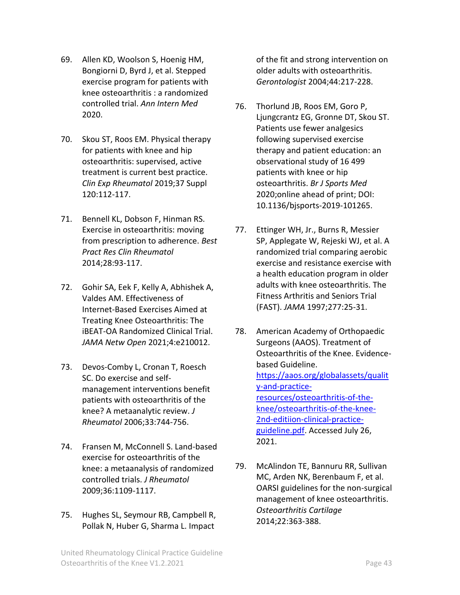- 69. Allen KD, Woolson S, Hoenig HM, Bongiorni D, Byrd J, et al. Stepped exercise program for patients with knee osteoarthritis : a randomized controlled trial. *Ann Intern Med*  2020.
- 70. Skou ST, Roos EM. Physical therapy for patients with knee and hip osteoarthritis: supervised, active treatment is current best practice. *Clin Exp Rheumatol* 2019;37 Suppl 120:112-117.
- 71. Bennell KL, Dobson F, Hinman RS. Exercise in osteoarthritis: moving from prescription to adherence. *Best Pract Res Clin Rheumatol*  2014;28:93-117.
- 72. Gohir SA, Eek F, Kelly A, Abhishek A, Valdes AM. Effectiveness of Internet-Based Exercises Aimed at Treating Knee Osteoarthritis: The iBEAT-OA Randomized Clinical Trial. *JAMA Netw Open* 2021;4:e210012.
- 73. Devos-Comby L, Cronan T, Roesch SC. Do exercise and selfmanagement interventions benefit patients with osteoarthritis of the knee? A metaanalytic review. *J Rheumatol* 2006;33:744-756.
- 74. Fransen M, McConnell S. Land-based exercise for osteoarthritis of the knee: a metaanalysis of randomized controlled trials. *J Rheumatol*  2009;36:1109-1117.
- 75. Hughes SL, Seymour RB, Campbell R, Pollak N, Huber G, Sharma L. Impact

of the fit and strong intervention on older adults with osteoarthritis. *Gerontologist* 2004;44:217-228.

- 76. Thorlund JB, Roos EM, Goro P, Ljungcrantz EG, Gronne DT, Skou ST. Patients use fewer analgesics following supervised exercise therapy and patient education: an observational study of 16 499 patients with knee or hip osteoarthritis. *Br J Sports Med*  2020;online ahead of print; DOI: 10.1136/bjsports-2019-101265.
- 77. Ettinger WH, Jr., Burns R, Messier SP, Applegate W, Rejeski WJ, et al. A randomized trial comparing aerobic exercise and resistance exercise with a health education program in older adults with knee osteoarthritis. The Fitness Arthritis and Seniors Trial (FAST). *JAMA* 1997;277:25-31.
- 78. American Academy of Orthopaedic Surgeons (AAOS). Treatment of Osteoarthritis of the Knee. Evidencebased Guideline. [https://aaos.org/globalassets/qualit](https://aaos.org/globalassets/quality-and-practice-resources/osteoarthritis-of-the-knee/osteoarthritis-of-the-knee-2nd-editiion-clinical-practice-guideline.pdf) [y-and-practice](https://aaos.org/globalassets/quality-and-practice-resources/osteoarthritis-of-the-knee/osteoarthritis-of-the-knee-2nd-editiion-clinical-practice-guideline.pdf)[resources/osteoarthritis-of-the](https://aaos.org/globalassets/quality-and-practice-resources/osteoarthritis-of-the-knee/osteoarthritis-of-the-knee-2nd-editiion-clinical-practice-guideline.pdf)[knee/osteoarthritis-of-the-knee-](https://aaos.org/globalassets/quality-and-practice-resources/osteoarthritis-of-the-knee/osteoarthritis-of-the-knee-2nd-editiion-clinical-practice-guideline.pdf)[2nd-editiion-clinical-practice](https://aaos.org/globalassets/quality-and-practice-resources/osteoarthritis-of-the-knee/osteoarthritis-of-the-knee-2nd-editiion-clinical-practice-guideline.pdf)[guideline.pdf.](https://aaos.org/globalassets/quality-and-practice-resources/osteoarthritis-of-the-knee/osteoarthritis-of-the-knee-2nd-editiion-clinical-practice-guideline.pdf) Accessed July 26, 2021.
- 79. McAlindon TE, Bannuru RR, Sullivan MC, Arden NK, Berenbaum F, et al. OARSI guidelines for the non-surgical management of knee osteoarthritis. *Osteoarthritis Cartilage*  2014;22:363-388.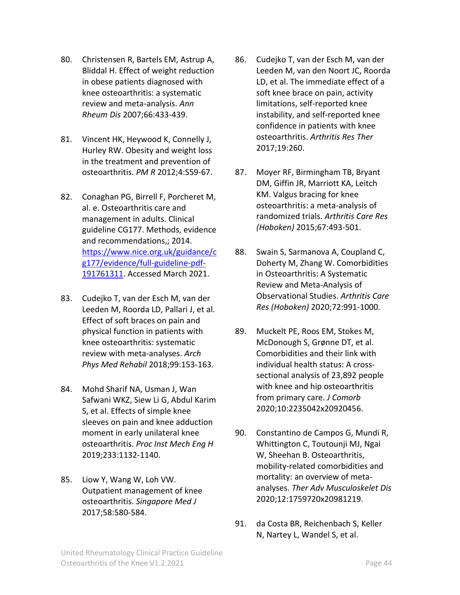- 80. Christensen R, Bartels EM, Astrup A, Bliddal H. Effect of weight reduction in obese patients diagnosed with knee osteoarthritis: a systematic review and meta-analysis. *Ann Rheum Dis* 2007;66:433-439.
- 81. Vincent HK, Heywood K, Connelly J, Hurley RW. Obesity and weight loss in the treatment and prevention of osteoarthritis. *PM R* 2012;4:S59-67.
- 82. Conaghan PG, Birrell F, Porcheret M, al. e. Osteoarthritis care and management in adults. Clinical guideline CG177. Methods, evidence and recommendations,; 2014. [https://www.nice.org.uk/guidance/c](https://www.nice.org.uk/guidance/cg177/evidence/full-guideline-pdf-191761311) [g177/evidence/full-guideline-pdf-](https://www.nice.org.uk/guidance/cg177/evidence/full-guideline-pdf-191761311)[191761311.](https://www.nice.org.uk/guidance/cg177/evidence/full-guideline-pdf-191761311) Accessed March 2021.
- 83. Cudejko T, van der Esch M, van der Leeden M, Roorda LD, Pallari J, et al. Effect of soft braces on pain and physical function in patients with knee osteoarthritis: systematic review with meta-analyses. *Arch Phys Med Rehabil* 2018;99:153-163.
- 84. Mohd Sharif NA, Usman J, Wan Safwani WKZ, Siew Li G, Abdul Karim S, et al. Effects of simple knee sleeves on pain and knee adduction moment in early unilateral knee osteoarthritis. *Proc Inst Mech Eng H*  2019;233:1132-1140.
- 85. Liow Y, Wang W, Loh VW. Outpatient management of knee osteoarthritis. *Singapore Med J*  2017;58:580-584.
- 86. Cudejko T, van der Esch M, van der Leeden M, van den Noort JC, Roorda LD, et al. The immediate effect of a soft knee brace on pain, activity limitations, self-reported knee instability, and self-reported knee confidence in patients with knee osteoarthritis. *Arthritis Res Ther*  2017;19:260.
- 87. Moyer RF, Birmingham TB, Bryant DM, Giffin JR, Marriott KA, Leitch KM. Valgus bracing for knee osteoarthritis: a meta-analysis of randomized trials. *Arthritis Care Res (Hoboken)* 2015;67:493-501.
- 88. Swain S, Sarmanova A, Coupland C, Doherty M, Zhang W. Comorbidities in Osteoarthritis: A Systematic Review and Meta-Analysis of Observational Studies. *Arthritis Care Res (Hoboken)* 2020;72:991-1000.
- 89. Muckelt PE, Roos EM, Stokes M, McDonough S, Grønne DT, et al. Comorbidities and their link with individual health status: A crosssectional analysis of 23,892 people with knee and hip osteoarthritis from primary care. *J Comorb*  2020;10:2235042x20920456.
- 90. Constantino de Campos G, Mundi R, Whittington C, Toutounji MJ, Ngai W, Sheehan B. Osteoarthritis, mobility-related comorbidities and mortality: an overview of metaanalyses. *Ther Adv Musculoskelet Dis*  2020;12:1759720x20981219.
- 91. da Costa BR, Reichenbach S, Keller N, Nartey L, Wandel S, et al.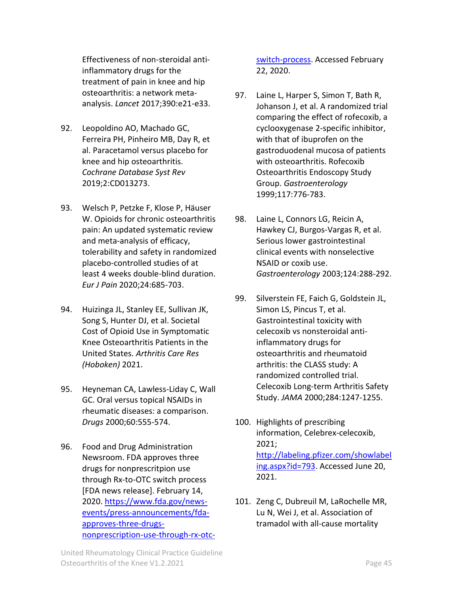Effectiveness of non-steroidal antiinflammatory drugs for the treatment of pain in knee and hip osteoarthritis: a network metaanalysis. *Lancet* 2017;390:e21-e33.

- 92. Leopoldino AO, Machado GC, Ferreira PH, Pinheiro MB, Day R, et al. Paracetamol versus placebo for knee and hip osteoarthritis. *Cochrane Database Syst Rev*  2019;2:CD013273.
- 93. Welsch P, Petzke F, Klose P, Häuser W. Opioids for chronic osteoarthritis pain: An updated systematic review and meta-analysis of efficacy, tolerability and safety in randomized placebo-controlled studies of at least 4 weeks double-blind duration. *Eur J Pain* 2020;24:685-703.
- 94. Huizinga JL, Stanley EE, Sullivan JK, Song S, Hunter DJ, et al. Societal Cost of Opioid Use in Symptomatic Knee Osteoarthritis Patients in the United States. *Arthritis Care Res (Hoboken)* 2021.
- 95. Heyneman CA, Lawless-Liday C, Wall GC. Oral versus topical NSAIDs in rheumatic diseases: a comparison. *Drugs* 2000;60:555-574.
- 96. Food and Drug Administration Newsroom. FDA approves three drugs for nonprescritpion use through Rx-to-OTC switch process [FDA news release]. February 14, 2020. [https://www.fda.gov/news](https://www.fda.gov/news-events/press-announcements/fda-approves-three-drugs-nonprescription-use-through-rx-otc-switch-process)[events/press-announcements/fda](https://www.fda.gov/news-events/press-announcements/fda-approves-three-drugs-nonprescription-use-through-rx-otc-switch-process)[approves-three-drugs](https://www.fda.gov/news-events/press-announcements/fda-approves-three-drugs-nonprescription-use-through-rx-otc-switch-process)[nonprescription-use-through-rx-otc-](https://www.fda.gov/news-events/press-announcements/fda-approves-three-drugs-nonprescription-use-through-rx-otc-switch-process)

[switch-process.](https://www.fda.gov/news-events/press-announcements/fda-approves-three-drugs-nonprescription-use-through-rx-otc-switch-process) Accessed February 22, 2020.

- 97. Laine L, Harper S, Simon T, Bath R, Johanson J, et al. A randomized trial comparing the effect of rofecoxib, a cyclooxygenase 2-specific inhibitor, with that of ibuprofen on the gastroduodenal mucosa of patients with osteoarthritis. Rofecoxib Osteoarthritis Endoscopy Study Group. *Gastroenterology*  1999;117:776-783.
- 98. Laine L, Connors LG, Reicin A, Hawkey CJ, Burgos-Vargas R, et al. Serious lower gastrointestinal clinical events with nonselective NSAID or coxib use. *Gastroenterology* 2003;124:288-292.
- 99. Silverstein FE, Faich G, Goldstein JL, Simon LS, Pincus T, et al. Gastrointestinal toxicity with celecoxib vs nonsteroidal antiinflammatory drugs for osteoarthritis and rheumatoid arthritis: the CLASS study: A randomized controlled trial. Celecoxib Long-term Arthritis Safety Study. *JAMA* 2000;284:1247-1255.
- 100. Highlights of prescribing information, Celebrex-celecoxib, 2021; [http://labeling.pfizer.com/showlabel](http://labeling.pfizer.com/showlabeling.aspx?id=793) [ing.aspx?id=793.](http://labeling.pfizer.com/showlabeling.aspx?id=793) Accessed June 20, 2021.
- 101. Zeng C, Dubreuil M, LaRochelle MR, Lu N, Wei J, et al. Association of tramadol with all-cause mortality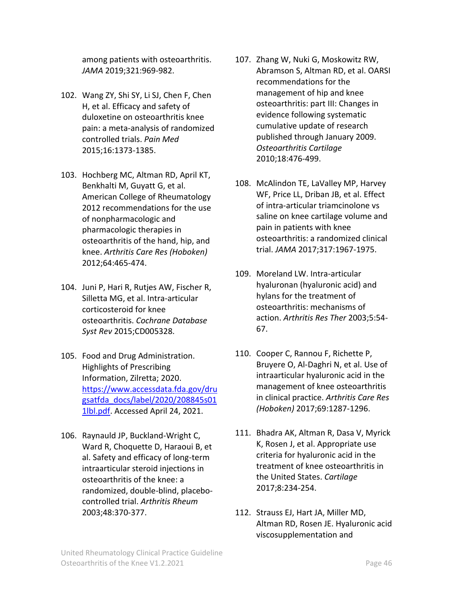among patients with osteoarthritis. *JAMA* 2019;321:969-982.

- 102. Wang ZY, Shi SY, Li SJ, Chen F, Chen H, et al. Efficacy and safety of duloxetine on osteoarthritis knee pain: a meta-analysis of randomized controlled trials. *Pain Med*  2015;16:1373-1385.
- 103. Hochberg MC, Altman RD, April KT, Benkhalti M, Guyatt G, et al. American College of Rheumatology 2012 recommendations for the use of nonpharmacologic and pharmacologic therapies in osteoarthritis of the hand, hip, and knee. *Arthritis Care Res (Hoboken)*  2012;64:465-474.
- 104. Juni P, Hari R, Rutjes AW, Fischer R, Silletta MG, et al. Intra-articular corticosteroid for knee osteoarthritis. *Cochrane Database Syst Rev* 2015;CD005328.
- 105. Food and Drug Administration. Highlights of Prescribing Information, Zilretta; 2020. [https://www.accessdata.fda.gov/dru](https://www.accessdata.fda.gov/drugsatfda_docs/label/2020/208845s011lbl.pdf) [gsatfda\\_docs/label/2020/208845s01](https://www.accessdata.fda.gov/drugsatfda_docs/label/2020/208845s011lbl.pdf) [1lbl.pdf.](https://www.accessdata.fda.gov/drugsatfda_docs/label/2020/208845s011lbl.pdf) Accessed April 24, 2021.
- 106. Raynauld JP, Buckland-Wright C, Ward R, Choquette D, Haraoui B, et al. Safety and efficacy of long-term intraarticular steroid injections in osteoarthritis of the knee: a randomized, double-blind, placebocontrolled trial. *Arthritis Rheum*  2003;48:370-377.
- 107. Zhang W, Nuki G, Moskowitz RW, Abramson S, Altman RD, et al. OARSI recommendations for the management of hip and knee osteoarthritis: part III: Changes in evidence following systematic cumulative update of research published through January 2009. *Osteoarthritis Cartilage*  2010;18:476-499.
- 108. McAlindon TE, LaValley MP, Harvey WF, Price LL, Driban JB, et al. Effect of intra-articular triamcinolone vs saline on knee cartilage volume and pain in patients with knee osteoarthritis: a randomized clinical trial. *JAMA* 2017;317:1967-1975.
- 109. Moreland LW. Intra-articular hyaluronan (hyaluronic acid) and hylans for the treatment of osteoarthritis: mechanisms of action. *Arthritis Res Ther* 2003;5:54- 67.
- 110. Cooper C, Rannou F, Richette P, Bruyere O, Al-Daghri N, et al. Use of intraarticular hyaluronic acid in the management of knee osteoarthritis in clinical practice. *Arthritis Care Res (Hoboken)* 2017;69:1287-1296.
- 111. Bhadra AK, Altman R, Dasa V, Myrick K, Rosen J, et al. Appropriate use criteria for hyaluronic acid in the treatment of knee osteoarthritis in the United States. *Cartilage*  2017;8:234-254.
- 112. Strauss EJ, Hart JA, Miller MD, Altman RD, Rosen JE. Hyaluronic acid viscosupplementation and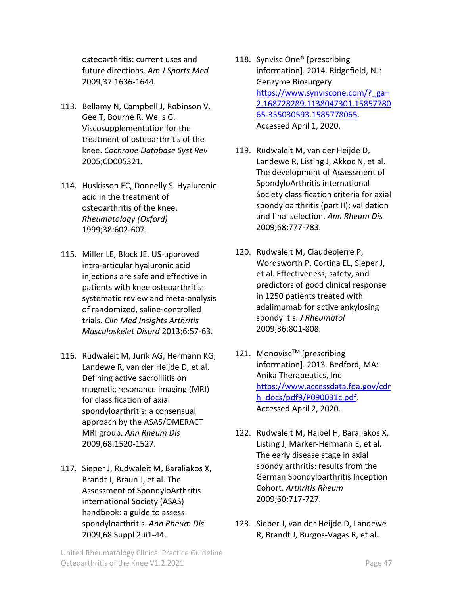osteoarthritis: current uses and future directions. *Am J Sports Med*  2009;37:1636-1644.

- 113. Bellamy N, Campbell J, Robinson V, Gee T, Bourne R, Wells G. Viscosupplementation for the treatment of osteoarthritis of the knee. *Cochrane Database Syst Rev*  2005;CD005321.
- 114. Huskisson EC, Donnelly S. Hyaluronic acid in the treatment of osteoarthritis of the knee. *Rheumatology (Oxford)*  1999;38:602-607.
- 115. Miller LE, Block JE. US-approved intra-articular hyaluronic acid injections are safe and effective in patients with knee osteoarthritis: systematic review and meta-analysis of randomized, saline-controlled trials. *Clin Med Insights Arthritis Musculoskelet Disord* 2013;6:57-63.
- 116. Rudwaleit M, Jurik AG, Hermann KG, Landewe R, van der Heijde D, et al. Defining active sacroiliitis on magnetic resonance imaging (MRI) for classification of axial spondyloarthritis: a consensual approach by the ASAS/OMERACT MRI group. *Ann Rheum Dis*  2009;68:1520-1527.
- 117. Sieper J, Rudwaleit M, Baraliakos X, Brandt J, Braun J, et al. The Assessment of SpondyloArthritis international Society (ASAS) handbook: a guide to assess spondyloarthritis. *Ann Rheum Dis*  2009;68 Suppl 2:ii1-44.
- 118. Synvisc One® [prescribing information]. 2014. Ridgefield, NJ: Genzyme Biosurgery [https://www.synviscone.com/?\\_ga=](https://www.synviscone.com/?_ga=2.168728289.1138047301.1585778065-355030593.1585778065) [2.168728289.1138047301.15857780](https://www.synviscone.com/?_ga=2.168728289.1138047301.1585778065-355030593.1585778065) [65-355030593.1585778065.](https://www.synviscone.com/?_ga=2.168728289.1138047301.1585778065-355030593.1585778065) Accessed April 1, 2020.
- 119. Rudwaleit M, van der Heijde D, Landewe R, Listing J, Akkoc N, et al. The development of Assessment of SpondyloArthritis international Society classification criteria for axial spondyloarthritis (part II): validation and final selection. *Ann Rheum Dis*  2009;68:777-783.
- 120. Rudwaleit M, Claudepierre P, Wordsworth P, Cortina EL, Sieper J, et al. Effectiveness, safety, and predictors of good clinical response in 1250 patients treated with adalimumab for active ankylosing spondylitis. *J Rheumatol*  2009;36:801-808.
- 121. Monovisc™ [prescribing information]. 2013. Bedford, MA: Anika Therapeutics, Inc [https://www.accessdata.fda.gov/cdr](https://www.accessdata.fda.gov/cdrh_docs/pdf9/P090031c.pdf) [h\\_docs/pdf9/P090031c.pdf.](https://www.accessdata.fda.gov/cdrh_docs/pdf9/P090031c.pdf) Accessed April 2, 2020.
- 122. Rudwaleit M, Haibel H, Baraliakos X, Listing J, Marker-Hermann E, et al. The early disease stage in axial spondylarthritis: results from the German Spondyloarthritis Inception Cohort. *Arthritis Rheum*  2009;60:717-727.
- 123. Sieper J, van der Heijde D, Landewe R, Brandt J, Burgos-Vagas R, et al.

United Rheumatology Clinical Practice Guideline Osteoarthritis of the Knee V1.2.2021 **Page 47**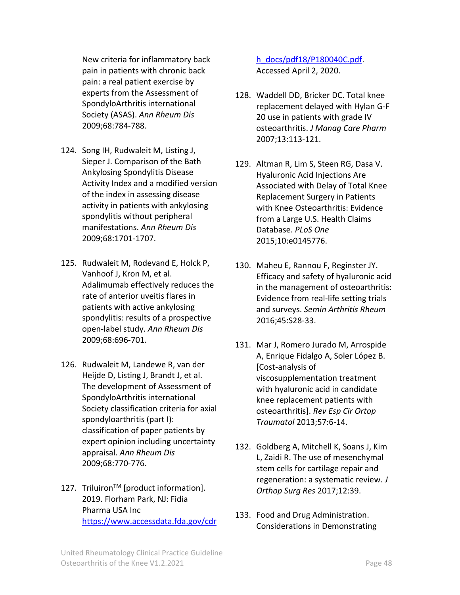New criteria for inflammatory back pain in patients with chronic back pain: a real patient exercise by experts from the Assessment of SpondyloArthritis international Society (ASAS). *Ann Rheum Dis*  2009;68:784-788.

- 124. Song IH, Rudwaleit M, Listing J, Sieper J. Comparison of the Bath Ankylosing Spondylitis Disease Activity Index and a modified version of the index in assessing disease activity in patients with ankylosing spondylitis without peripheral manifestations. *Ann Rheum Dis*  2009;68:1701-1707.
- 125. Rudwaleit M, Rodevand E, Holck P, Vanhoof J, Kron M, et al. Adalimumab effectively reduces the rate of anterior uveitis flares in patients with active ankylosing spondylitis: results of a prospective open-label study. *Ann Rheum Dis*  2009;68:696-701.
- 126. Rudwaleit M, Landewe R, van der Heijde D, Listing J, Brandt J, et al. The development of Assessment of SpondyloArthritis international Society classification criteria for axial spondyloarthritis (part I): classification of paper patients by expert opinion including uncertainty appraisal. *Ann Rheum Dis*  2009;68:770-776.
- 127. Triluiron<sup>™</sup> [product information]. 2019. Florham Park, NJ: Fidia Pharma USA Inc [https://www.accessdata.fda.gov/cdr](https://www.accessdata.fda.gov/cdrh_docs/pdf18/P180040C.pdf)

[h\\_docs/pdf18/P180040C.pdf.](https://www.accessdata.fda.gov/cdrh_docs/pdf18/P180040C.pdf) Accessed April 2, 2020.

- 128. Waddell DD, Bricker DC. Total knee replacement delayed with Hylan G-F 20 use in patients with grade IV osteoarthritis. *J Manag Care Pharm*  2007;13:113-121.
- 129. Altman R, Lim S, Steen RG, Dasa V. Hyaluronic Acid Injections Are Associated with Delay of Total Knee Replacement Surgery in Patients with Knee Osteoarthritis: Evidence from a Large U.S. Health Claims Database. *PLoS One*  2015;10:e0145776.
- 130. Maheu E, Rannou F, Reginster JY. Efficacy and safety of hyaluronic acid in the management of osteoarthritis: Evidence from real-life setting trials and surveys. *Semin Arthritis Rheum*  2016;45:S28-33.
- 131. Mar J, Romero Jurado M, Arrospide A, Enrique Fidalgo A, Soler López B. [Cost-analysis of viscosupplementation treatment with hyaluronic acid in candidate knee replacement patients with osteoarthritis]. *Rev Esp Cir Ortop Traumatol* 2013;57:6-14.
- 132. Goldberg A, Mitchell K, Soans J, Kim L, Zaidi R. The use of mesenchymal stem cells for cartilage repair and regeneration: a systematic review. *J Orthop Surg Res* 2017;12:39.
- 133. Food and Drug Administration. Considerations in Demonstrating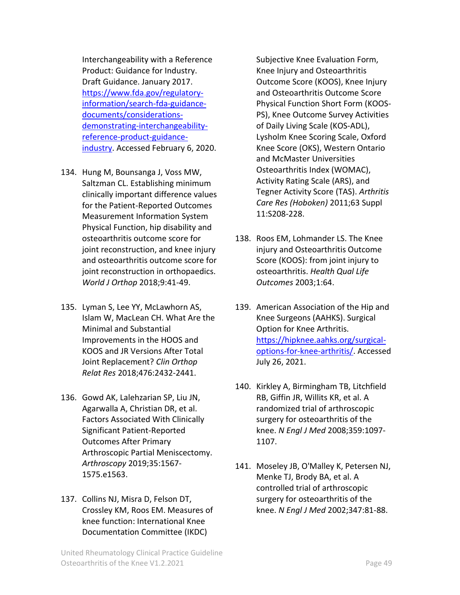Interchangeability with a Reference Product: Guidance for Industry. Draft Guidance. January 2017. [https://www.fda.gov/regulatory](https://www.fda.gov/regulatory-information/search-fda-guidance-documents/considerations-demonstrating-interchangeability-reference-product-guidance-industry)[information/search-fda-guidance](https://www.fda.gov/regulatory-information/search-fda-guidance-documents/considerations-demonstrating-interchangeability-reference-product-guidance-industry)[documents/considerations](https://www.fda.gov/regulatory-information/search-fda-guidance-documents/considerations-demonstrating-interchangeability-reference-product-guidance-industry)[demonstrating-interchangeability](https://www.fda.gov/regulatory-information/search-fda-guidance-documents/considerations-demonstrating-interchangeability-reference-product-guidance-industry)[reference-product-guidance](https://www.fda.gov/regulatory-information/search-fda-guidance-documents/considerations-demonstrating-interchangeability-reference-product-guidance-industry)[industry.](https://www.fda.gov/regulatory-information/search-fda-guidance-documents/considerations-demonstrating-interchangeability-reference-product-guidance-industry) Accessed February 6, 2020.

- 134. Hung M, Bounsanga J, Voss MW, Saltzman CL. Establishing minimum clinically important difference values for the Patient-Reported Outcomes Measurement Information System Physical Function, hip disability and osteoarthritis outcome score for joint reconstruction, and knee injury and osteoarthritis outcome score for joint reconstruction in orthopaedics. *World J Orthop* 2018;9:41-49.
- 135. Lyman S, Lee YY, McLawhorn AS, Islam W, MacLean CH. What Are the Minimal and Substantial Improvements in the HOOS and KOOS and JR Versions After Total Joint Replacement? *Clin Orthop Relat Res* 2018;476:2432-2441.
- 136. Gowd AK, Lalehzarian SP, Liu JN, Agarwalla A, Christian DR, et al. Factors Associated With Clinically Significant Patient-Reported Outcomes After Primary Arthroscopic Partial Meniscectomy. *Arthroscopy* 2019;35:1567- 1575.e1563.
- 137. Collins NJ, Misra D, Felson DT, Crossley KM, Roos EM. Measures of knee function: International Knee Documentation Committee (IKDC)

Subjective Knee Evaluation Form, Knee Injury and Osteoarthritis Outcome Score (KOOS), Knee Injury and Osteoarthritis Outcome Score Physical Function Short Form (KOOS-PS), Knee Outcome Survey Activities of Daily Living Scale (KOS-ADL), Lysholm Knee Scoring Scale, Oxford Knee Score (OKS), Western Ontario and McMaster Universities Osteoarthritis Index (WOMAC), Activity Rating Scale (ARS), and Tegner Activity Score (TAS). *Arthritis Care Res (Hoboken)* 2011;63 Suppl 11:S208-228.

- 138. Roos EM, Lohmander LS. The Knee injury and Osteoarthritis Outcome Score (KOOS): from joint injury to osteoarthritis. *Health Qual Life Outcomes* 2003;1:64.
- 139. American Association of the Hip and Knee Surgeons (AAHKS). Surgical Option for Knee Arthritis. [https://hipknee.aahks.org/surgical](https://hipknee.aahks.org/surgical-options-for-knee-arthritis/)[options-for-knee-arthritis/.](https://hipknee.aahks.org/surgical-options-for-knee-arthritis/) Accessed July 26, 2021.
- 140. Kirkley A, Birmingham TB, Litchfield RB, Giffin JR, Willits KR, et al. A randomized trial of arthroscopic surgery for osteoarthritis of the knee. *N Engl J Med* 2008;359:1097- 1107.
- 141. Moseley JB, O'Malley K, Petersen NJ, Menke TJ, Brody BA, et al. A controlled trial of arthroscopic surgery for osteoarthritis of the knee. *N Engl J Med* 2002;347:81-88.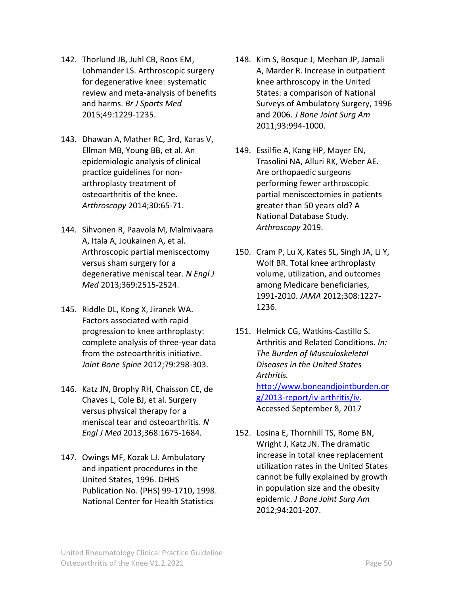- 142. Thorlund JB, Juhl CB, Roos EM, Lohmander LS. Arthroscopic surgery for degenerative knee: systematic review and meta-analysis of benefits and harms. *Br J Sports Med*  2015;49:1229-1235.
- 143. Dhawan A, Mather RC, 3rd, Karas V, Ellman MB, Young BB, et al. An epidemiologic analysis of clinical practice guidelines for nonarthroplasty treatment of osteoarthritis of the knee. *Arthroscopy* 2014;30:65-71.
- 144. Sihvonen R, Paavola M, Malmivaara A, Itala A, Joukainen A, et al. Arthroscopic partial meniscectomy versus sham surgery for a degenerative meniscal tear. *N Engl J Med* 2013;369:2515-2524.
- 145. Riddle DL, Kong X, Jiranek WA. Factors associated with rapid progression to knee arthroplasty: complete analysis of three-year data from the osteoarthritis initiative. *Joint Bone Spine* 2012;79:298-303.
- 146. Katz JN, Brophy RH, Chaisson CE, de Chaves L, Cole BJ, et al. Surgery versus physical therapy for a meniscal tear and osteoarthritis. *N Engl J Med* 2013;368:1675-1684.
- 147. Owings MF, Kozak LJ. Ambulatory and inpatient procedures in the United States, 1996. DHHS Publication No. (PHS) 99-1710, 1998. National Center for Health Statistics
- 148. Kim S, Bosque J, Meehan JP, Jamali A, Marder R. Increase in outpatient knee arthroscopy in the United States: a comparison of National Surveys of Ambulatory Surgery, 1996 and 2006. *J Bone Joint Surg Am*  2011;93:994-1000.
- 149. Essilfie A, Kang HP, Mayer EN, Trasolini NA, Alluri RK, Weber AE. Are orthopaedic surgeons performing fewer arthroscopic partial meniscectomies in patients greater than 50 years old? A National Database Study. *Arthroscopy* 2019.
- 150. Cram P, Lu X, Kates SL, Singh JA, Li Y, Wolf BR. Total knee arthroplasty volume, utilization, and outcomes among Medicare beneficiaries, 1991-2010. *JAMA* 2012;308:1227- 1236.
- 151. Helmick CG, Watkins-Castillo S. Arthritis and Related Conditions. *In: The Burden of Musculoskeletal Diseases in the United States Arthritis.* [http://www.boneandjointburden.or](http://www.boneandjointburden.org/2013-report/iv-arthritis/iv) [g/2013-report/iv-arthritis/iv.](http://www.boneandjointburden.org/2013-report/iv-arthritis/iv) Accessed September 8, 2017
- 152. Losina E, Thornhill TS, Rome BN, Wright J, Katz JN. The dramatic increase in total knee replacement utilization rates in the United States cannot be fully explained by growth in population size and the obesity epidemic. *J Bone Joint Surg Am*  2012;94:201-207.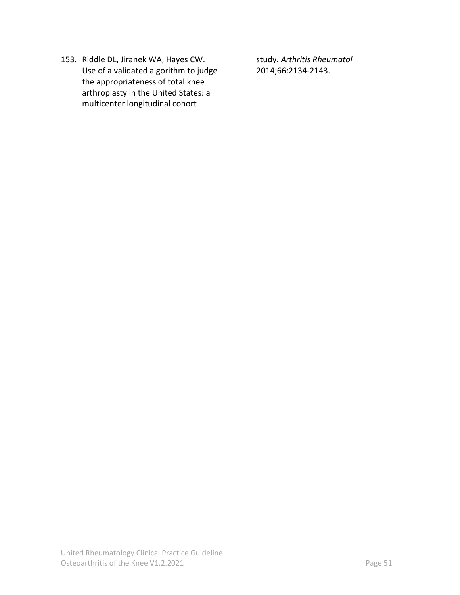153. Riddle DL, Jiranek WA, Hayes CW. Use of a validated algorithm to judge the appropriateness of total knee arthroplasty in the United States: a multicenter longitudinal cohort

study. *Arthritis Rheumatol*  2014;66:2134-2143.